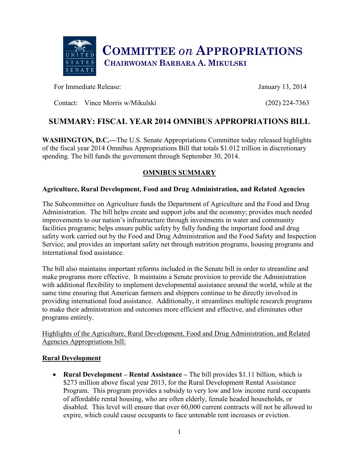

For Immediate Release: January 13, 2014

Contact: Vince Morris w/Mikulski (202) 224-7363

# **SUMMARY: FISCAL YEAR 2014 OMNIBUS APPROPRIATIONS BILL**

**WASHINGTON, D.C.—**The U.S. Senate Appropriations Committee today released highlights of the fiscal year 2014 Omnibus Appropriations Bill that totals \$1.012 trillion in discretionary spending. The bill funds the government through September 30, 2014.

# **OMNIBUS SUMMARY**

## **Agriculture, Rural Development, Food and Drug Administration, and Related Agencies**

The Subcommittee on Agriculture funds the Department of Agriculture and the Food and Drug Administration. The bill helps create and support jobs and the economy; provides much needed improvements to our nation's infrastructure through investments in water and community facilities programs; helps ensure public safety by fully funding the important food and drug safety work carried out by the Food and Drug Administration and the Food Safety and Inspection Service; and provides an important safety net through nutrition programs, housing programs and international food assistance.

The bill also maintains important reforms included in the Senate bill in order to streamline and make programs more effective. It maintains a Senate provision to provide the Administration with additional flexibility to implement developmental assistance around the world, while at the same time ensuring that American farmers and shippers continue to be directly involved in providing international food assistance. Additionally, it streamlines multiple research programs to make their administration and outcomes more efficient and effective, and eliminates other programs entirely.

Highlights of the Agriculture, Rural Development, Food and Drug Administration, and Related Agencies Appropriations bill:

## **Rural Development**

• **Rural Development – Rental Assistance –** The bill provides \$1.11 billion, which is \$273 million above fiscal year 2013, for the Rural Development Rental Assistance Program. This program provides a subsidy to very low and low income rural occupants of affordable rental housing, who are often elderly, female headed households, or disabled. This level will ensure that over 60,000 current contracts will not be allowed to expire, which could cause occupants to face untenable rent increases or eviction.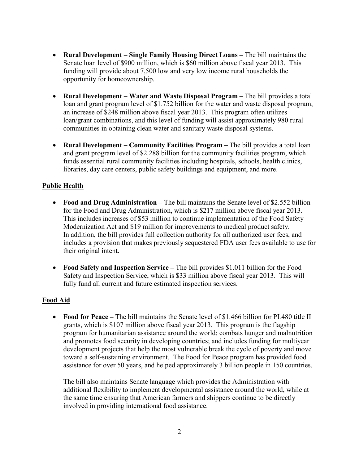- x **Rural Development – Single Family Housing Direct Loans –** The bill maintains the Senate loan level of \$900 million, which is \$60 million above fiscal year 2013. This funding will provide about 7,500 low and very low income rural households the opportunity for homeownership.
- x **Rural Development – Water and Waste Disposal Program –** The bill provides a total loan and grant program level of \$1.752 billion for the water and waste disposal program, an increase of \$248 million above fiscal year 2013. This program often utilizes loan/grant combinations, and this level of funding will assist approximately 980 rural communities in obtaining clean water and sanitary waste disposal systems.
- **Rural Development Community Facilities Program –** The bill provides a total loan and grant program level of \$2.288 billion for the community facilities program, which funds essential rural community facilities including hospitals, schools, health clinics, libraries, day care centers, public safety buildings and equipment, and more.

# **Public Health**

- **Food and Drug Administration** The bill maintains the Senate level of \$2.552 billion for the Food and Drug Administration, which is \$217 million above fiscal year 2013. This includes increases of \$53 million to continue implementation of the Food Safety Modernization Act and \$19 million for improvements to medical product safety. In addition, the bill provides full collection authority for all authorized user fees, and includes a provision that makes previously sequestered FDA user fees available to use for their original intent.
- **Food Safety and Inspection Service** The bill provides \$1.011 billion for the Food Safety and Inspection Service, which is \$33 million above fiscal year 2013. This will fully fund all current and future estimated inspection services.

## **Food Aid**

• **Food for Peace** – The bill maintains the Senate level of \$1.466 billion for PL480 title II grants, which is \$107 million above fiscal year 2013. This program is the flagship program for humanitarian assistance around the world; combats hunger and malnutrition and promotes food security in developing countries; and includes funding for multiyear development projects that help the most vulnerable break the cycle of poverty and move toward a self-sustaining environment. The Food for Peace program has provided food assistance for over 50 years, and helped approximately 3 billion people in 150 countries.

The bill also maintains Senate language which provides the Administration with additional flexibility to implement developmental assistance around the world, while at the same time ensuring that American farmers and shippers continue to be directly involved in providing international food assistance.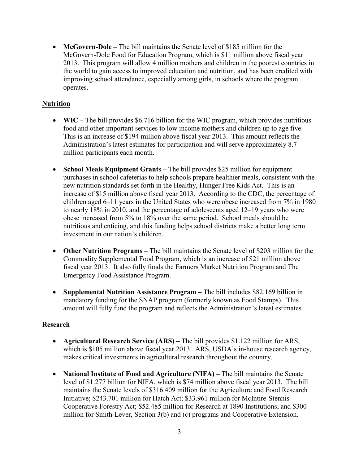• **McGovern-Dole** – The bill maintains the Senate level of \$185 million for the McGovern-Dole Food for Education Program, which is \$11 million above fiscal year 2013. This program will allow 4 million mothers and children in the poorest countries in the world to gain access to improved education and nutrition, and has been credited with improving school attendance, especially among girls, in schools where the program operates.

## **Nutrition**

- **WIC** The bill provides \$6.716 billion for the WIC program, which provides nutritious food and other important services to low income mothers and children up to age five. This is an increase of \$194 million above fiscal year 2013. This amount reflects the Administration's latest estimates for participation and will serve approximately 8.7 million participants each month.
- **School Meals Equipment Grants** The bill provides \$25 million for equipment purchases in school cafeterias to help schools prepare healthier meals, consistent with the new nutrition standards set forth in the Healthy, Hunger Free Kids Act. This is an increase of \$15 million above fiscal year 2013. According to the CDC, the percentage of children aged 6–11 years in the United States who were obese increased from 7% in 1980 to nearly 18% in 2010, and the percentage of adolescents aged 12–19 years who were obese increased from 5% to 18% over the same period. School meals should be nutritious and enticing, and this funding helps school districts make a better long term investment in our nation's children.
- **Other Nutrition Programs** The bill maintains the Senate level of \$203 million for the Commodity Supplemental Food Program, which is an increase of \$21 million above fiscal year 2013. It also fully funds the Farmers Market Nutrition Program and The Emergency Food Assistance Program.
- **Supplemental Nutrition Assistance Program** The bill includes \$82.169 billion in mandatory funding for the SNAP program (formerly known as Food Stamps). This amount will fully fund the program and reflects the Administration's latest estimates.

## **Research**

- **Agricultural Research Service (ARS)** The bill provides \$1.122 million for ARS, which is \$105 million above fiscal year 2013. ARS, USDA's in-house research agency, makes critical investments in agricultural research throughout the country.
- **National Institute of Food and Agriculture (NIFA)** The bill maintains the Senate level of \$1.277 billion for NIFA, which is \$74 million above fiscal year 2013. The bill maintains the Senate levels of \$316.409 million for the Agriculture and Food Research Initiative; \$243.701 million for Hatch Act; \$33.961 million for McIntire-Stennis Cooperative Forestry Act; \$52.485 million for Research at 1890 Institutions; and \$300 million for Smith-Lever, Section 3(b) and (c) programs and Cooperative Extension.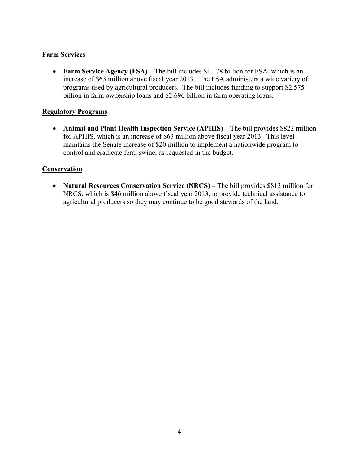## **Farm Services**

• **Farm Service Agency (FSA)** – The bill includes \$1.178 billion for FSA, which is an increase of \$63 million above fiscal year 2013. The FSA administers a wide variety of programs used by agricultural producers. The bill includes funding to support \$2.575 billion in farm ownership loans and \$2.696 billion in farm operating loans.

#### **Regulatory Programs**

• **Animal and Plant Health Inspection Service (APHIS)** – The bill provides \$822 million for APHIS, which is an increase of \$63 million above fiscal year 2013. This level maintains the Senate increase of \$20 million to implement a nationwide program to control and eradicate feral swine, as requested in the budget.

#### **Conservation**

• Natural Resources Conservation Service (NRCS) – The bill provides \$813 million for NRCS, which is \$46 million above fiscal year 2013, to provide technical assistance to agricultural producers so they may continue to be good stewards of the land.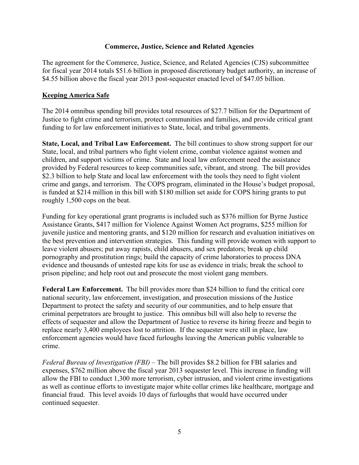#### **Commerce, Justice, Science and Related Agencies**

The agreement for the Commerce, Justice, Science, and Related Agencies (CJS) subcommittee for fiscal year 2014 totals \$51.6 billion in proposed discretionary budget authority, an increase of \$4.55 billion above the fiscal year 2013 post-sequester enacted level of \$47.05 billion.

#### **Keeping America Safe**

The 2014 omnibus spending bill provides total resources of \$27.7 billion for the Department of Justice to fight crime and terrorism, protect communities and families, and provide critical grant funding to for law enforcement initiatives to State, local, and tribal governments.

**State, Local, and Tribal Law Enforcement.** The bill continues to show strong support for our State, local, and tribal partners who fight violent crime, combat violence against women and children, and support victims of crime. State and local law enforcement need the assistance provided by Federal resources to keep communities safe, vibrant, and strong. The bill provides \$2.3 billion to help State and local law enforcement with the tools they need to fight violent crime and gangs, and terrorism. The COPS program, eliminated in the House's budget proposal, is funded at \$214 million in this bill with \$180 million set aside for COPS hiring grants to put roughly 1,500 cops on the beat.

Funding for key operational grant programs is included such as \$376 million for Byrne Justice Assistance Grants, \$417 million for Violence Against Women Act programs, \$255 million for juvenile justice and mentoring grants, and \$120 million for research and evaluation initiatives on the best prevention and intervention strategies. This funding will provide women with support to leave violent abusers; put away rapists, child abusers, and sex predators; break up child pornography and prostitution rings; build the capacity of crime laboratories to process DNA evidence and thousands of untested rape kits for use as evidence in trials; break the school to prison pipeline; and help root out and prosecute the most violent gang members.

**Federal Law Enforcement.** The bill provides more than \$24 billion to fund the critical core national security, law enforcement, investigation, and prosecution missions of the Justice Department to protect the safety and security of our communities, and to help ensure that criminal perpetrators are brought to justice. This omnibus bill will also help to reverse the effects of sequester and allow the Department of Justice to reverse its hiring freeze and begin to replace nearly 3,400 employees lost to attrition. If the sequester were still in place, law enforcement agencies would have faced furloughs leaving the American public vulnerable to crime.

*Federal Bureau of Investigation (FBI)* – The bill provides \$8.2 billion for FBI salaries and expenses, \$762 million above the fiscal year 2013 sequester level. This increase in funding will allow the FBI to conduct 1,300 more terrorism, cyber intrusion, and violent crime investigations as well as continue efforts to investigate major white collar crimes like healthcare, mortgage and financial fraud. This level avoids 10 days of furloughs that would have occurred under continued sequester.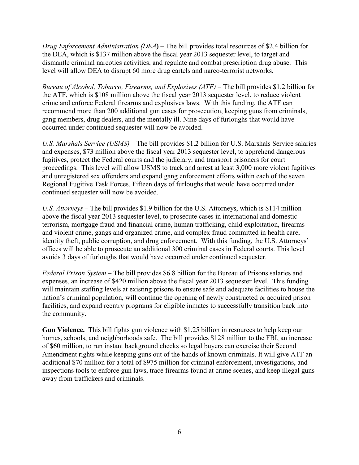*Drug Enforcement Administration (DEA***)** – The bill provides total resources of \$2.4 billion for the DEA, which is \$137 million above the fiscal year 2013 sequester level, to target and dismantle criminal narcotics activities, and regulate and combat prescription drug abuse. This level will allow DEA to disrupt 60 more drug cartels and narco-terrorist networks.

*Bureau of Alcohol, Tobacco, Firearms, and Explosives (ATF)* – The bill provides \$1.2 billion for the ATF, which is \$108 million above the fiscal year 2013 sequester level, to reduce violent crime and enforce Federal firearms and explosives laws. With this funding, the ATF can recommend more than 200 additional gun cases for prosecution, keeping guns from criminals, gang members, drug dealers, and the mentally ill. Nine days of furloughs that would have occurred under continued sequester will now be avoided.

*U.S. Marshals Service (USMS)* – The bill provides \$1.2 billion for U.S. Marshals Service salaries and expenses, \$73 million above the fiscal year 2013 sequester level, to apprehend dangerous fugitives, protect the Federal courts and the judiciary, and transport prisoners for court proceedings. This level will allow USMS to track and arrest at least 3,000 more violent fugitives and unregistered sex offenders and expand gang enforcement efforts within each of the seven Regional Fugitive Task Forces. Fifteen days of furloughs that would have occurred under continued sequester will now be avoided.

*U.S. Attorneys* – The bill provides \$1.9 billion for the U.S. Attorneys, which is \$114 million above the fiscal year 2013 sequester level, to prosecute cases in international and domestic terrorism, mortgage fraud and financial crime, human trafficking, child exploitation, firearms and violent crime, gangs and organized crime, and complex fraud committed in health care, identity theft, public corruption, and drug enforcement. With this funding, the U.S. Attorneys' offices will be able to prosecute an additional 300 criminal cases in Federal courts. This level avoids 3 days of furloughs that would have occurred under continued sequester.

*Federal Prison System* – The bill provides \$6.8 billion for the Bureau of Prisons salaries and expenses, an increase of \$420 million above the fiscal year 2013 sequester level. This funding will maintain staffing levels at existing prisons to ensure safe and adequate facilities to house the nation's criminal population, will continue the opening of newly constructed or acquired prison facilities, and expand reentry programs for eligible inmates to successfully transition back into the community.

**Gun Violence.** This bill fights gun violence with \$1.25 billion in resources to help keep our homes, schools, and neighborhoods safe. The bill provides \$128 million to the FBI, an increase of \$60 million, to run instant background checks so legal buyers can exercise their Second Amendment rights while keeping guns out of the hands of known criminals. It will give ATF an additional \$70 million for a total of \$975 million for criminal enforcement, investigations, and inspections tools to enforce gun laws, trace firearms found at crime scenes, and keep illegal guns away from traffickers and criminals.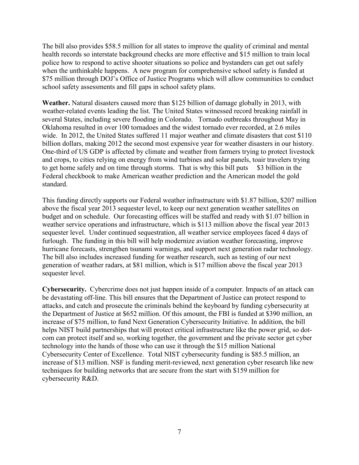The bill also provides \$58.5 million for all states to improve the quality of criminal and mental health records so interstate background checks are more effective and \$15 million to train local police how to respond to active shooter situations so police and bystanders can get out safely when the unthinkable happens. A new program for comprehensive school safety is funded at \$75 million through DOJ's Office of Justice Programs which will allow communities to conduct school safety assessments and fill gaps in school safety plans.

**Weather.** Natural disasters caused more than \$125 billion of damage globally in 2013, with weather-related events leading the list. The United States witnessed record breaking rainfall in several States, including severe flooding in Colorado. Tornado outbreaks throughout May in Oklahoma resulted in over 100 tornadoes and the widest tornado ever recorded, at 2.6 miles wide. In 2012, the United States suffered 11 major weather and climate disasters that cost \$110 billion dollars, making 2012 the second most expensive year for weather disasters in our history. One-third of US GDP is affected by climate and weather from farmers trying to protect livestock and crops, to cities relying on energy from wind turbines and solar panels, toair travelers trying to get home safely and on time through storms. That is why this bill puts \$3 billion in the Federal checkbook to make American weather prediction and the American model the gold standard.

This funding directly supports our Federal weather infrastructure with \$1.87 billion, \$207 million above the fiscal year 2013 sequester level, to keep our next generation weather satellites on budget and on schedule. Our forecasting offices will be staffed and ready with \$1.07 billion in weather service operations and infrastructure, which is \$113 million above the fiscal year 2013 sequester level. Under continued sequestration, all weather service employees faced 4 days of furlough. The funding in this bill will help modernize aviation weather forecasting, improve hurricane forecasts, strengthen tsunami warnings, and support next generation radar technology. The bill also includes increased funding for weather research, such as testing of our next generation of weather radars, at \$81 million, which is \$17 million above the fiscal year 2013 sequester level.

**Cybersecurity.** Cybercrime does not just happen inside of a computer. Impacts of an attack can be devastating off-line. This bill ensures that the Department of Justice can protect respond to attacks, and catch and prosecute the criminals behind the keyboard by funding cybersecurity at the Department of Justice at \$652 million. Of this amount, the FBI is funded at \$390 million, an increase of \$75 million, to fund Next Generation Cybersecurity Initiative. In addition, the bill helps NIST build partnerships that will protect critical infrastructure like the power grid, so dotcom can protect itself and so, working together, the government and the private sector get cyber technology into the hands of those who can use it through the \$15 million National Cybersecurity Center of Excellence. Total NIST cybersecurity funding is \$85.5 million, an increase of \$13 million. NSF is funding merit-reviewed, next generation cyber research like new techniques for building networks that are secure from the start with \$159 million for cybersecurity R&D.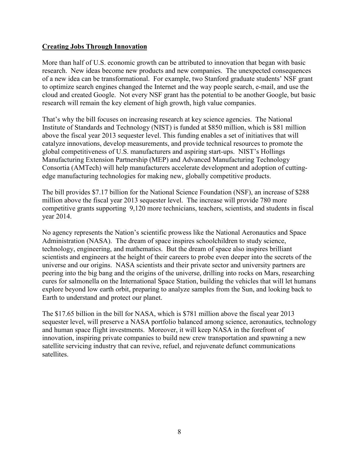#### **Creating Jobs Through Innovation**

More than half of U.S. economic growth can be attributed to innovation that began with basic research. New ideas become new products and new companies. The unexpected consequences of a new idea can be transformational. For example, two Stanford graduate students' NSF grant to optimize search engines changed the Internet and the way people search, e-mail, and use the cloud and created Google. Not every NSF grant has the potential to be another Google, but basic research will remain the key element of high growth, high value companies.

That's why the bill focuses on increasing research at key science agencies. The National Institute of Standards and Technology (NIST) is funded at \$850 million, which is \$81 million above the fiscal year 2013 sequester level. This funding enables a set of initiatives that will catalyze innovations, develop measurements, and provide technical resources to promote the global competitiveness of U.S. manufacturers and aspiring start-ups. NIST's Hollings Manufacturing Extension Partnership (MEP) and Advanced Manufacturing Technology Consortia (AMTech) will help manufacturers accelerate development and adoption of cuttingedge manufacturing technologies for making new, globally competitive products.

The bill provides \$7.17 billion for the National Science Foundation (NSF), an increase of \$288 million above the fiscal year 2013 sequester level. The increase will provide 780 more competitive grants supporting 9,120 more technicians, teachers, scientists, and students in fiscal year 2014.

No agency represents the Nation's scientific prowess like the National Aeronautics and Space Administration (NASA). The dream of space inspires schoolchildren to study science, technology, engineering, and mathematics. But the dream of space also inspires brilliant scientists and engineers at the height of their careers to probe even deeper into the secrets of the universe and our origins. NASA scientists and their private sector and university partners are peering into the big bang and the origins of the universe, drilling into rocks on Mars, researching cures for salmonella on the International Space Station, building the vehicles that will let humans explore beyond low earth orbit, preparing to analyze samples from the Sun, and looking back to Earth to understand and protect our planet.

The \$17.65 billion in the bill for NASA, which is \$781 million above the fiscal year 2013 sequester level, will preserve a NASA portfolio balanced among science, aeronautics, technology and human space flight investments. Moreover, it will keep NASA in the forefront of innovation, inspiring private companies to build new crew transportation and spawning a new satellite servicing industry that can revive, refuel, and rejuvenate defunct communications satellites.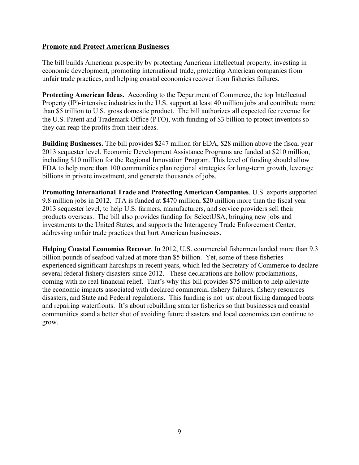#### **Promote and Protect American Businesses**

The bill builds American prosperity by protecting American intellectual property, investing in economic development, promoting international trade, protecting American companies from unfair trade practices, and helping coastal economies recover from fisheries failures.

**Protecting American Ideas.** According to the Department of Commerce, the top Intellectual Property (IP)-intensive industries in the U.S. support at least 40 million jobs and contribute more than \$5 trillion to U.S. gross domestic product. The bill authorizes all expected fee revenue for the U.S. Patent and Trademark Office (PTO), with funding of \$3 billion to protect inventors so they can reap the profits from their ideas.

**Building Businesses.** The bill provides \$247 million for EDA, \$28 million above the fiscal year 2013 sequester level. Economic Development Assistance Programs are funded at \$210 million, including \$10 million for the Regional Innovation Program. This level of funding should allow EDA to help more than 100 communities plan regional strategies for long-term growth, leverage billions in private investment, and generate thousands of jobs.

**Promoting International Trade and Protecting American Companies**. U.S. exports supported 9.8 million jobs in 2012. ITA is funded at \$470 million, \$20 million more than the fiscal year 2013 sequester level, to help U.S. farmers, manufacturers, and service providers sell their products overseas. The bill also provides funding for SelectUSA, bringing new jobs and investments to the United States, and supports the Interagency Trade Enforcement Center, addressing unfair trade practices that hurt American businesses.

**Helping Coastal Economies Recover**. In 2012, U.S. commercial fishermen landed more than 9.3 billion pounds of seafood valued at more than \$5 billion. Yet, some of these fisheries experienced significant hardships in recent years, which led the Secretary of Commerce to declare several federal fishery disasters since 2012. These declarations are hollow proclamations, coming with no real financial relief. That's why this bill provides \$75 million to help alleviate the economic impacts associated with declared commercial fishery failures, fishery resources disasters, and State and Federal regulations. This funding is not just about fixing damaged boats and repairing waterfronts. It's about rebuilding smarter fisheries so that businesses and coastal communities stand a better shot of avoiding future disasters and local economies can continue to grow.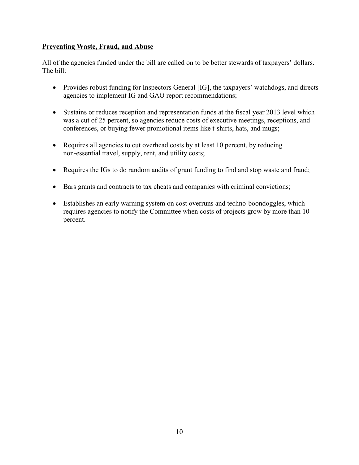## **Preventing Waste, Fraud, and Abuse**

All of the agencies funded under the bill are called on to be better stewards of taxpayers' dollars. The bill:

- Provides robust funding for Inspectors General [IG], the taxpayers' watchdogs, and directs agencies to implement IG and GAO report recommendations;
- Sustains or reduces reception and representation funds at the fiscal year 2013 level which was a cut of 25 percent, so agencies reduce costs of executive meetings, receptions, and conferences, or buying fewer promotional items like t-shirts, hats, and mugs;
- Requires all agencies to cut overhead costs by at least 10 percent, by reducing non-essential travel, supply, rent, and utility costs;
- Requires the IGs to do random audits of grant funding to find and stop waste and fraud;
- Bars grants and contracts to tax cheats and companies with criminal convictions;
- Establishes an early warning system on cost overruns and techno-boondoggles, which requires agencies to notify the Committee when costs of projects grow by more than 10 percent.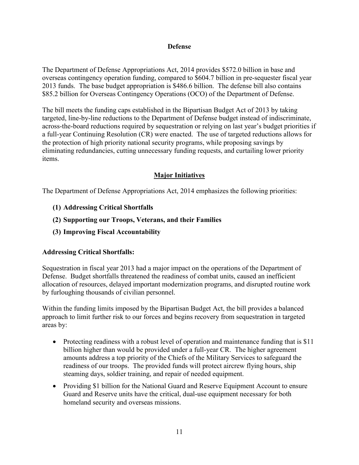#### **Defense**

The Department of Defense Appropriations Act, 2014 provides \$572.0 billion in base and overseas contingency operation funding, compared to \$604.7 billion in pre-sequester fiscal year 2013 funds. The base budget appropriation is \$486.6 billion. The defense bill also contains \$85.2 billion for Overseas Contingency Operations (OCO) of the Department of Defense.

The bill meets the funding caps established in the Bipartisan Budget Act of 2013 by taking targeted, line-by-line reductions to the Department of Defense budget instead of indiscriminate, across-the-board reductions required by sequestration or relying on last year's budget priorities if a full-year Continuing Resolution (CR) were enacted. The use of targeted reductions allows for the protection of high priority national security programs, while proposing savings by eliminating redundancies, cutting unnecessary funding requests, and curtailing lower priority items.

## **Major Initiatives**

The Department of Defense Appropriations Act, 2014 emphasizes the following priorities:

- **(1) Addressing Critical Shortfalls**
- **(2) Supporting our Troops, Veterans, and their Families**
- **(3) Improving Fiscal Accountability**

## **Addressing Critical Shortfalls:**

Sequestration in fiscal year 2013 had a major impact on the operations of the Department of Defense. Budget shortfalls threatened the readiness of combat units, caused an inefficient allocation of resources, delayed important modernization programs, and disrupted routine work by furloughing thousands of civilian personnel.

Within the funding limits imposed by the Bipartisan Budget Act, the bill provides a balanced approach to limit further risk to our forces and begins recovery from sequestration in targeted areas by:

- Protecting readiness with a robust level of operation and maintenance funding that is \$11 billion higher than would be provided under a full-year CR. The higher agreement amounts address a top priority of the Chiefs of the Military Services to safeguard the readiness of our troops. The provided funds will protect aircrew flying hours, ship steaming days, soldier training, and repair of needed equipment.
- Providing \$1 billion for the National Guard and Reserve Equipment Account to ensure Guard and Reserve units have the critical, dual-use equipment necessary for both homeland security and overseas missions.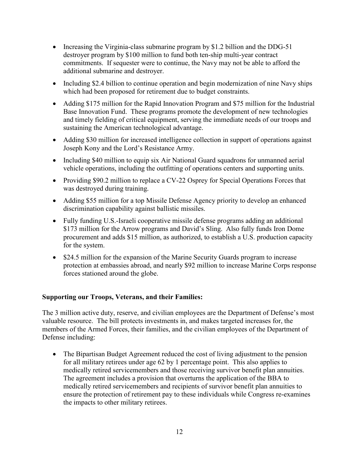- Increasing the Virginia-class submarine program by \$1.2 billion and the DDG-51 destroyer program by \$100 million to fund both ten-ship multi-year contract commitments. If sequester were to continue, the Navy may not be able to afford the additional submarine and destroyer.
- Including \$2.4 billion to continue operation and begin modernization of nine Navy ships which had been proposed for retirement due to budget constraints.
- Adding \$175 million for the Rapid Innovation Program and \$75 million for the Industrial Base Innovation Fund. These programs promote the development of new technologies and timely fielding of critical equipment, serving the immediate needs of our troops and sustaining the American technological advantage.
- Adding \$30 million for increased intelligence collection in support of operations against Joseph Kony and the Lord's Resistance Army.
- Including \$40 million to equip six Air National Guard squadrons for unmanned aerial vehicle operations, including the outfitting of operations centers and supporting units.
- Providing \$90.2 million to replace a CV-22 Osprey for Special Operations Forces that was destroyed during training.
- Adding \$55 million for a top Missile Defense Agency priority to develop an enhanced discrimination capability against ballistic missiles.
- Fully funding U.S.-Israeli cooperative missile defense programs adding an additional \$173 million for the Arrow programs and David's Sling. Also fully funds Iron Dome procurement and adds \$15 million, as authorized, to establish a U.S. production capacity for the system.
- \$24.5 million for the expansion of the Marine Security Guards program to increase protection at embassies abroad, and nearly \$92 million to increase Marine Corps response forces stationed around the globe.

## **Supporting our Troops, Veterans, and their Families:**

The 3 million active duty, reserve, and civilian employees are the Department of Defense's most valuable resource. The bill protects investments in, and makes targeted increases for, the members of the Armed Forces, their families, and the civilian employees of the Department of Defense including:

• The Bipartisan Budget Agreement reduced the cost of living adjustment to the pension for all military retirees under age 62 by 1 percentage point. This also applies to medically retired servicemembers and those receiving survivor benefit plan annuities. The agreement includes a provision that overturns the application of the BBA to medically retired servicemembers and recipients of survivor benefit plan annuities to ensure the protection of retirement pay to these individuals while Congress re-examines the impacts to other military retirees.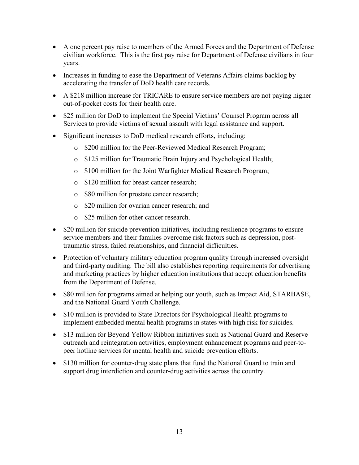- A one percent pay raise to members of the Armed Forces and the Department of Defense civilian workforce. This is the first pay raise for Department of Defense civilians in four years.
- Increases in funding to ease the Department of Veterans Affairs claims backlog by accelerating the transfer of DoD health care records.
- A \$218 million increase for TRICARE to ensure service members are not paying higher out-of-pocket costs for their health care.
- \$25 million for DoD to implement the Special Victims' Counsel Program across all Services to provide victims of sexual assault with legal assistance and support.
- Significant increases to DoD medical research efforts, including:
	- o \$200 million for the Peer-Reviewed Medical Research Program;
	- o \$125 million for Traumatic Brain Injury and Psychological Health;
	- o \$100 million for the Joint Warfighter Medical Research Program;
	- o \$120 million for breast cancer research;
	- o \$80 million for prostate cancer research;
	- o \$20 million for ovarian cancer research; and
	- o \$25 million for other cancer research.
- \$20 million for suicide prevention initiatives, including resilience programs to ensure service members and their families overcome risk factors such as depression, posttraumatic stress, failed relationships, and financial difficulties.
- Protection of voluntary military education program quality through increased oversight and third-party auditing. The bill also establishes reporting requirements for advertising and marketing practices by higher education institutions that accept education benefits from the Department of Defense.
- \$80 million for programs aimed at helping our youth, such as Impact Aid, STARBASE, and the National Guard Youth Challenge.
- \$10 million is provided to State Directors for Psychological Health programs to implement embedded mental health programs in states with high risk for suicides.
- \$13 million for Beyond Yellow Ribbon initiatives such as National Guard and Reserve outreach and reintegration activities, employment enhancement programs and peer-topeer hotline services for mental health and suicide prevention efforts.
- \$130 million for counter-drug state plans that fund the National Guard to train and support drug interdiction and counter-drug activities across the country.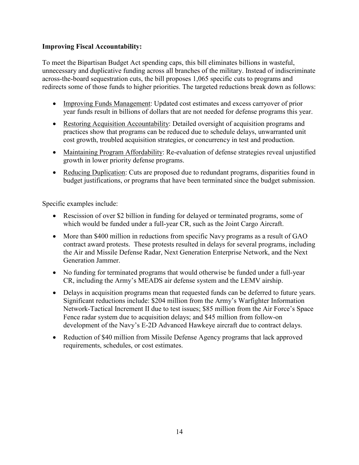## **Improving Fiscal Accountability:**

To meet the Bipartisan Budget Act spending caps, this bill eliminates billions in wasteful, unnecessary and duplicative funding across all branches of the military. Instead of indiscriminate across-the-board sequestration cuts, the bill proposes 1,065 specific cuts to programs and redirects some of those funds to higher priorities. The targeted reductions break down as follows:

- Improving Funds Management: Updated cost estimates and excess carryover of prior year funds result in billions of dollars that are not needed for defense programs this year.
- Restoring Acquisition Accountability: Detailed oversight of acquisition programs and practices show that programs can be reduced due to schedule delays, unwarranted unit cost growth, troubled acquisition strategies, or concurrency in test and production.
- Maintaining Program Affordability: Re-evaluation of defense strategies reveal unjustified growth in lower priority defense programs.
- Reducing Duplication: Cuts are proposed due to redundant programs, disparities found in budget justifications, or programs that have been terminated since the budget submission.

Specific examples include:

- Rescission of over \$2 billion in funding for delayed or terminated programs, some of which would be funded under a full-year CR, such as the Joint Cargo Aircraft.
- More than \$400 million in reductions from specific Navy programs as a result of GAO contract award protests. These protests resulted in delays for several programs, including the Air and Missile Defense Radar, Next Generation Enterprise Network, and the Next Generation Jammer.
- No funding for terminated programs that would otherwise be funded under a full-year CR, including the Army's MEADS air defense system and the LEMV airship.
- Delays in acquisition programs mean that requested funds can be deferred to future years. Significant reductions include: \$204 million from the Army's Warfighter Information Network-Tactical Increment II due to test issues; \$85 million from the Air Force's Space Fence radar system due to acquisition delays; and \$45 million from follow-on development of the Navy's E-2D Advanced Hawkeye aircraft due to contract delays.
- Reduction of \$40 million from Missile Defense Agency programs that lack approved requirements, schedules, or cost estimates.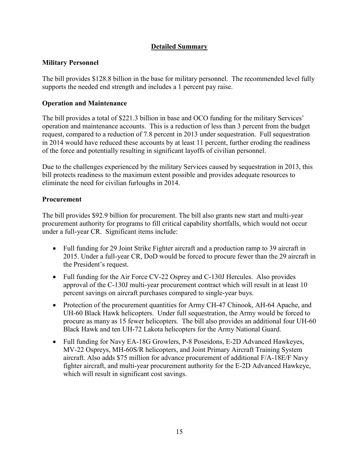# **Detailed Summary**

## **Military Personnel**

The bill provides \$128.8 billion in the base for military personnel. The recommended level fully supports the needed end strength and includes a 1 percent pay raise.

## **Operation and Maintenance**

The bill provides a total of \$221.3 billion in base and OCO funding for the military Services' operation and maintenance accounts. This is a reduction of less than 3 percent from the budget request, compared to a reduction of 7.8 percent in 2013 under sequestration. Full sequestration in 2014 would have reduced these accounts by at least 11 percent, further eroding the readiness of the force and potentially resulting in significant layoffs of civilian personnel.

Due to the challenges experienced by the military Services caused by sequestration in 2013, this bill protects readiness to the maximum extent possible and provides adequate resources to eliminate the need for civilian furloughs in 2014.

## **Procurement**

The bill provides \$92.9 billion for procurement. The bill also grants new start and multi-year procurement authority for programs to fill critical capability shortfalls, which would not occur under a full-year CR. Significant items include:

- Full funding for 29 Joint Strike Fighter aircraft and a production ramp to 39 aircraft in 2015. Under a full-year CR, DoD would be forced to procure fewer than the 29 aircraft in the President's request.
- Full funding for the Air Force CV-22 Osprey and C-130J Hercules. Also provides approval of the C-130J multi-year procurement contract which will result in at least 10 percent savings on aircraft purchases compared to single-year buys.
- Protection of the procurement quantities for Army CH-47 Chinook, AH-64 Apache, and UH-60 Black Hawk helicopters. Under full sequestration, the Army would be forced to procure as many as 15 fewer helicopters. The bill also provides an additional four UH-60 Black Hawk and ten UH-72 Lakota helicopters for the Army National Guard.
- Full funding for Navy EA-18G Growlers, P-8 Poseidons, E-2D Advanced Hawkeyes, MV-22 Ospreys, MH-60S/R helicopters, and Joint Primary Aircraft Training System aircraft. Also adds \$75 million for advance procurement of additional F/A-18E/F Navy fighter aircraft, and multi-year procurement authority for the E-2D Advanced Hawkeye, which will result in significant cost savings.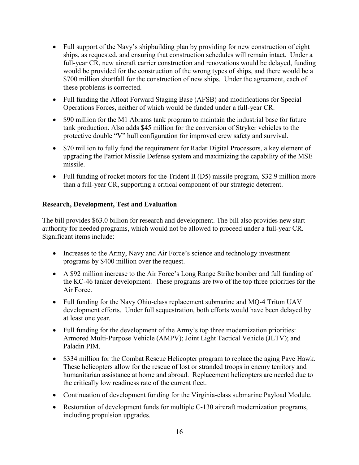- Full support of the Navy's shipbuilding plan by providing for new construction of eight ships, as requested, and ensuring that construction schedules will remain intact. Under a full-year CR, new aircraft carrier construction and renovations would be delayed, funding would be provided for the construction of the wrong types of ships, and there would be a \$700 million shortfall for the construction of new ships. Under the agreement, each of these problems is corrected.
- Full funding the Afloat Forward Staging Base (AFSB) and modifications for Special Operations Forces, neither of which would be funded under a full-year CR.
- \$90 million for the M1 Abrams tank program to maintain the industrial base for future tank production. Also adds \$45 million for the conversion of Stryker vehicles to the protective double "V" hull configuration for improved crew safety and survival.
- \$70 million to fully fund the requirement for Radar Digital Processors, a key element of upgrading the Patriot Missile Defense system and maximizing the capability of the MSE missile.
- Full funding of rocket motors for the Trident II (D5) missile program, \$32.9 million more than a full-year CR, supporting a critical component of our strategic deterrent.

# **Research, Development, Test and Evaluation**

The bill provides \$63.0 billion for research and development. The bill also provides new start authority for needed programs, which would not be allowed to proceed under a full-year CR. Significant items include:

- Increases to the Army, Navy and Air Force's science and technology investment programs by \$400 million over the request.
- A \$92 million increase to the Air Force's Long Range Strike bomber and full funding of the KC-46 tanker development. These programs are two of the top three priorities for the Air Force.
- Full funding for the Navy Ohio-class replacement submarine and MQ-4 Triton UAV development efforts. Under full sequestration, both efforts would have been delayed by at least one year.
- $\bullet$  Full funding for the development of the Army's top three modernization priorities: Armored Multi-Purpose Vehicle (AMPV); Joint Light Tactical Vehicle (JLTV); and Paladin PIM.
- \$334 million for the Combat Rescue Helicopter program to replace the aging Pave Hawk. These helicopters allow for the rescue of lost or stranded troops in enemy territory and humanitarian assistance at home and abroad. Replacement helicopters are needed due to the critically low readiness rate of the current fleet.
- Continuation of development funding for the Virginia-class submarine Payload Module.
- $\bullet$  Restoration of development funds for multiple C-130 aircraft modernization programs, including propulsion upgrades.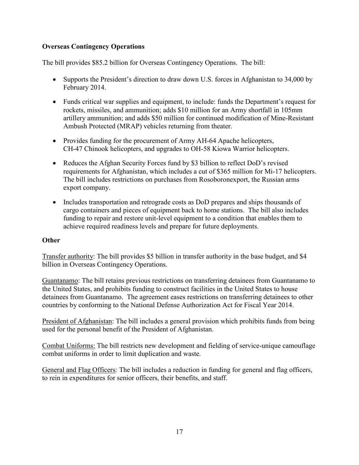# **Overseas Contingency Operations**

The bill provides \$85.2 billion for Overseas Contingency Operations. The bill:

- Supports the President's direction to draw down U.S. forces in Afghanistan to 34,000 by February 2014.
- Funds critical war supplies and equipment, to include: funds the Department's request for rockets, missiles, and ammunition; adds \$10 million for an Army shortfall in 105mm artillery ammunition; and adds \$50 million for continued modification of Mine-Resistant Ambush Protected (MRAP) vehicles returning from theater.
- Provides funding for the procurement of Army AH-64 Apache helicopters, CH-47 Chinook helicopters, and upgrades to OH-58 Kiowa Warrior helicopters.
- Reduces the Afghan Security Forces fund by \$3 billion to reflect DoD's revised requirements for Afghanistan, which includes a cut of \$365 million for Mi-17 helicopters. The bill includes restrictions on purchases from Rosoboronexport, the Russian arms export company.
- Includes transportation and retrograde costs as DoD prepares and ships thousands of cargo containers and pieces of equipment back to home stations. The bill also includes funding to repair and restore unit-level equipment to a condition that enables them to achieve required readiness levels and prepare for future deployments.

## **Other**

Transfer authority: The bill provides \$5 billion in transfer authority in the base budget, and \$4 billion in Overseas Contingency Operations.

Guantanamo: The bill retains previous restrictions on transferring detainees from Guantanamo to the United States, and prohibits funding to construct facilities in the United States to house detainees from Guantanamo. The agreement eases restrictions on transferring detainees to other countries by conforming to the National Defense Authorization Act for Fiscal Year 2014.

President of Afghanistan: The bill includes a general provision which prohibits funds from being used for the personal benefit of the President of Afghanistan.

Combat Uniforms: The bill restricts new development and fielding of service-unique camouflage combat uniforms in order to limit duplication and waste.

General and Flag Officers: The bill includes a reduction in funding for general and flag officers, to rein in expenditures for senior officers, their benefits, and staff.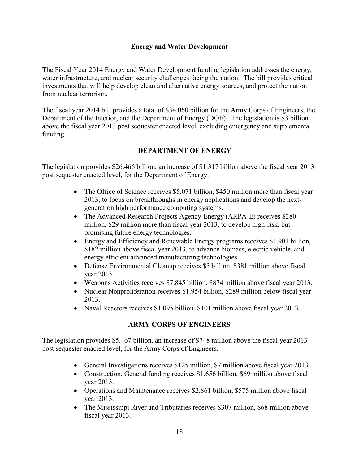#### **Energy and Water Development**

The Fiscal Year 2014 Energy and Water Development funding legislation addresses the energy, water infrastructure, and nuclear security challenges facing the nation. The bill provides critical investments that will help develop clean and alternative energy sources, and protect the nation from nuclear terrorism.

The fiscal year 2014 bill provides a total of \$34.060 billion for the Army Corps of Engineers, the Department of the Interior, and the Department of Energy (DOE). The legislation is \$3 billion above the fiscal year 2013 post sequester enacted level, excluding emergency and supplemental funding.

#### **DEPARTMENT OF ENERGY**

The legislation provides \$26.466 billion, an increase of \$1.317 billion above the fiscal year 2013 post sequester enacted level, for the Department of Energy.

- The Office of Science receives \$5.071 billion, \$450 million more than fiscal year 2013, to focus on breakthroughs in energy applications and develop the nextgeneration high performance computing systems.
- The Advanced Research Projects Agency-Energy (ARPA-E) receives \$280 million, \$29 million more than fiscal year 2013, to develop high-risk, but promising future energy technologies.
- Energy and Efficiency and Renewable Energy programs receives \$1.901 billion, \$182 million above fiscal year 2013, to advance biomass, electric vehicle, and energy efficient advanced manufacturing technologies.
- Defense Environmental Cleanup receives \$5 billion, \$381 million above fiscal year 2013.
- Weapons Activities receives  $$7.845$  billion,  $$874$  million above fiscal year 2013.
- Nuclear Nonproliferation receives \$1.954 billion, \$289 million below fiscal year 2013.
- Naval Reactors receives \$1.095 billion, \$101 million above fiscal year 2013.

## **ARMY CORPS OF ENGINEERS**

The legislation provides \$5.467 billion, an increase of \$748 million above the fiscal year 2013 post sequester enacted level, for the Army Corps of Engineers.

- General Investigations receives \$125 million, \$7 million above fiscal year 2013.
- Construction, General funding receives  $$1.656$  billion,  $$69$  million above fiscal year 2013.
- Operations and Maintenance receives  $$2.861$  billion, \$575 million above fiscal year 2013.
- The Mississippi River and Tributaries receives \$307 million, \$68 million above fiscal year 2013.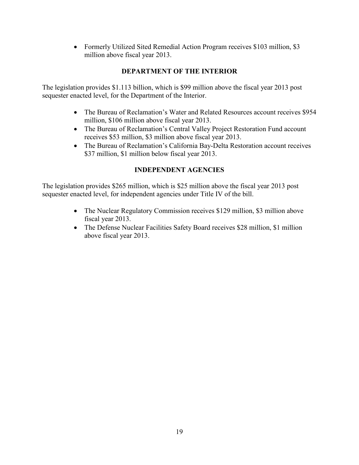• Formerly Utilized Sited Remedial Action Program receives \$103 million, \$3 million above fiscal year 2013.

# **DEPARTMENT OF THE INTERIOR**

The legislation provides \$1.113 billion, which is \$99 million above the fiscal year 2013 post sequester enacted level, for the Department of the Interior.

- The Bureau of Reclamation's Water and Related Resources account receives \$954 million, \$106 million above fiscal year 2013.
- The Bureau of Reclamation's Central Valley Project Restoration Fund account receives \$53 million, \$3 million above fiscal year 2013.
- The Bureau of Reclamation's California Bay-Delta Restoration account receives \$37 million, \$1 million below fiscal year 2013.

# **INDEPENDENT AGENCIES**

The legislation provides \$265 million, which is \$25 million above the fiscal year 2013 post sequester enacted level, for independent agencies under Title IV of the bill.

- The Nuclear Regulatory Commission receives \$129 million, \$3 million above fiscal year 2013.
- The Defense Nuclear Facilities Safety Board receives \$28 million, \$1 million above fiscal year 2013.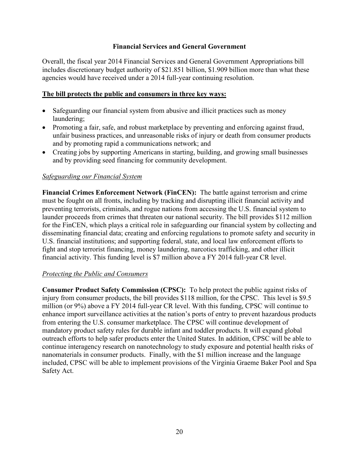#### **Financial Services and General Government**

Overall, the fiscal year 2014 Financial Services and General Government Appropriations bill includes discretionary budget authority of \$21.851 billion, \$1.909 billion more than what these agencies would have received under a 2014 full-year continuing resolution.

#### **The bill protects the public and consumers in three key ways:**

- Safeguarding our financial system from abusive and illicit practices such as money laundering;
- Promoting a fair, safe, and robust marketplace by preventing and enforcing against fraud, unfair business practices, and unreasonable risks of injury or death from consumer products and by promoting rapid a communications network; and
- Creating jobs by supporting Americans in starting, building, and growing small businesses and by providing seed financing for community development.

#### *Safeguarding our Financial System*

**Financial Crimes Enforcement Network (FinCEN):** The battle against terrorism and crime must be fought on all fronts, including by tracking and disrupting illicit financial activity and preventing terrorists, criminals, and rogue nations from accessing the U.S. financial system to launder proceeds from crimes that threaten our national security. The bill provides \$112 million for the FinCEN, which plays a critical role in safeguarding our financial system by collecting and disseminating financial data; creating and enforcing regulations to promote safety and security in U.S. financial institutions; and supporting federal, state, and local law enforcement efforts to fight and stop terrorist financing, money laundering, narcotics trafficking, and other illicit financial activity. This funding level is \$7 million above a FY 2014 full-year CR level.

## *Protecting the Public and Consumers*

**Consumer Product Safety Commission (CPSC):** To help protect the public against risks of injury from consumer products, the bill provides \$118 million, for the CPSC. This level is \$9.5 million (or 9%) above a FY 2014 full-year CR level. With this funding, CPSC will continue to enhance import surveillance activities at the nation's ports of entry to prevent hazardous products from entering the U.S. consumer marketplace. The CPSC will continue development of mandatory product safety rules for durable infant and toddler products. It will expand global outreach efforts to help safer products enter the United States. In addition, CPSC will be able to continue interagency research on nanotechnology to study exposure and potential health risks of nanomaterials in consumer products. Finally, with the \$1 million increase and the language included, CPSC will be able to implement provisions of the Virginia Graeme Baker Pool and Spa Safety Act.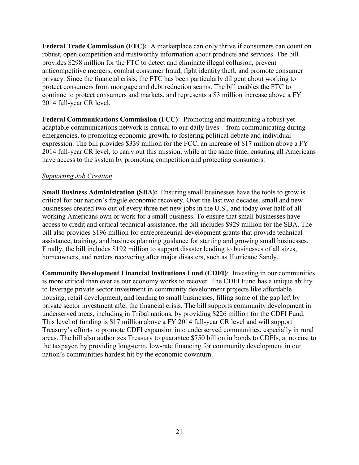**Federal Trade Commission (FTC):** A marketplace can only thrive if consumers can count on robust, open competition and trustworthy information about products and services. The bill provides \$298 million for the FTC to detect and eliminate illegal collusion, prevent anticompetitive mergers, combat consumer fraud, fight identity theft, and promote consumer privacy. Since the financial crisis, the FTC has been particularly diligent about working to protect consumers from mortgage and debt reduction scams. The bill enables the FTC to continue to protect consumers and markets, and represents a \$3 million increase above a FY 2014 full-year CR level.

**Federal Communications Commission (FCC)**: Promoting and maintaining a robust yet adaptable communications network is critical to our daily lives – from communicating during emergencies, to promoting economic growth, to fostering political debate and individual expression. The bill provides \$339 million for the FCC, an increase of \$17 million above a FY 2014 full-year CR level, to carry out this mission, while at the same time, ensuring all Americans have access to the system by promoting competition and protecting consumers.

#### *Supporting Job Creation*

**Small Business Administration (SBA):** Ensuring small businesses have the tools to grow is critical for our nation's fragile economic recovery. Over the last two decades, small and new businesses created two out of every three net new jobs in the U.S., and today over half of all working Americans own or work for a small business. To ensure that small businesses have access to credit and critical technical assistance, the bill includes \$929 million for the SBA. The bill also provides \$196 million for entrepreneurial development grants that provide technical assistance, training, and business planning guidance for starting and growing small businesses. Finally, the bill includes \$192 million to support disaster lending to businesses of all sizes, homeowners, and renters recovering after major disasters, such as Hurricane Sandy.

**Community Development Financial Institutions Fund (CDFI)**: Investing in our communities is more critical than ever as our economy works to recover. The CDFI Fund has a unique ability to leverage private sector investment in community development projects like affordable housing, retail development, and lending to small businesses, filling some of the gap left by private sector investment after the financial crisis. The bill supports community development in underserved areas, including in Tribal nations, by providing \$226 million for the CDFI Fund. This level of funding is \$17 million above a FY 2014 full-year CR level and will support Treasury's efforts to promote CDFI expansion into underserved communities, especially in rural areas. The bill also authorizes Treasury to guarantee \$750 billion in bonds to CDFIs, at no cost to the taxpayer, by providing long-term, low-rate financing for community development in our nation's communities hardest hit by the economic downturn.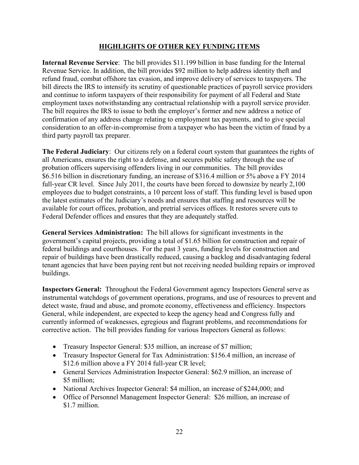## **HIGHLIGHTS OF OTHER KEY FUNDING ITEMS**

**Internal Revenue Service**: The bill provides \$11.199 billion in base funding for the Internal Revenue Service. In addition, the bill provides \$92 million to help address identity theft and refund fraud, combat offshore tax evasion, and improve delivery of services to taxpayers. The bill directs the IRS to intensify its scrutiny of questionable practices of payroll service providers and continue to inform taxpayers of their responsibility for payment of all Federal and State employment taxes notwithstanding any contractual relationship with a payroll service provider. The bill requires the IRS to issue to both the employer's former and new address a notice of confirmation of any address change relating to employment tax payments, and to give special consideration to an offer-in-compromise from a taxpayer who has been the victim of fraud by a third party payroll tax preparer.

**The Federal Judiciary**: Our citizens rely on a federal court system that guarantees the rights of all Americans, ensures the right to a defense, and secures public safety through the use of probation officers supervising offenders living in our communities. The bill provides \$6.516 billion in discretionary funding, an increase of \$316.4 million or 5% above a FY 2014 full-year CR level. Since July 2011, the courts have been forced to downsize by nearly 2,100 employees due to budget constraints, a 10 percent loss of staff. This funding level is based upon the latest estimates of the Judiciary's needs and ensures that staffing and resources will be available for court offices, probation, and pretrial services offices. It restores severe cuts to Federal Defender offices and ensures that they are adequately staffed.

**General Services Administration:** The bill allows for significant investments in the government's capital projects, providing a total of \$1.65 billion for construction and repair of federal buildings and courthouses. For the past 3 years, funding levels for construction and repair of buildings have been drastically reduced, causing a backlog and disadvantaging federal tenant agencies that have been paying rent but not receiving needed building repairs or improved buildings.

**Inspectors General:** Throughout the Federal Government agency Inspectors General serve as instrumental watchdogs of government operations, programs, and use of resources to prevent and detect waste, fraud and abuse, and promote economy, effectiveness and efficiency. Inspectors General, while independent, are expected to keep the agency head and Congress fully and currently informed of weaknesses, egregious and flagrant problems, and recommendations for corrective action. The bill provides funding for various Inspectors General as follows:

- Treasury Inspector General: \$35 million, an increase of \$7 million;
- Treasury Inspector General for Tax Administration: \$156.4 million, an increase of \$12.6 million above a FY 2014 full-year CR level;
- General Services Administration Inspector General: \$62.9 million, an increase of \$5 million;
- National Archives Inspector General: \$4 million, an increase of \$244,000; and
- Office of Personnel Management Inspector General: \$26 million, an increase of \$1.7 million.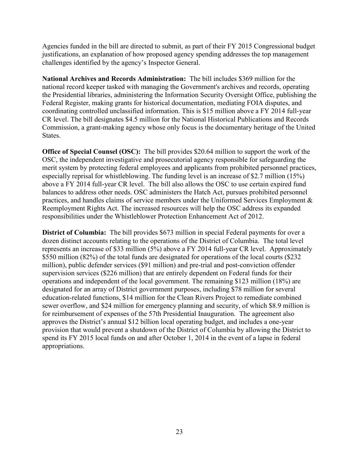Agencies funded in the bill are directed to submit, as part of their FY 2015 Congressional budget justifications, an explanation of how proposed agency spending addresses the top management challenges identified by the agency's Inspector General.

**National Archives and Records Administration:** The bill includes \$369 million for the national record keeper tasked with managing the Government's archives and records, operating the Presidential libraries, administering the Information Security Oversight Office, publishing the Federal Register, making grants for historical documentation, mediating FOIA disputes, and coordinating controlled unclassified information. This is \$15 million above a FY 2014 full-year CR level. The bill designates \$4.5 million for the National Historical Publications and Records Commission, a grant-making agency whose only focus is the documentary heritage of the United States.

**Office of Special Counsel (OSC):** The bill provides \$20.64 million to support the work of the OSC, the independent investigative and prosecutorial agency responsible for safeguarding the merit system by protecting federal employees and applicants from prohibited personnel practices, especially reprisal for whistleblowing. The funding level is an increase of \$2.7 million (15%) above a FY 2014 full-year CR level. The bill also allows the OSC to use certain expired fund balances to address other needs. OSC administers the Hatch Act, pursues prohibited personnel practices, and handles claims of service members under the Uniformed Services Employment & Reemployment Rights Act. The increased resources will help the OSC address its expanded responsibilities under the Whistleblower Protection Enhancement Act of 2012.

**District of Columbia:** The bill provides \$673 million in special Federal payments for over a dozen distinct accounts relating to the operations of the District of Columbia. The total level represents an increase of \$33 million (5%) above a FY 2014 full-year CR level. Approximately \$550 million (82%) of the total funds are designated for operations of the local courts (\$232 million), public defender services (\$91 million) and pre-trial and post-conviction offender supervision services (\$226 million) that are entirely dependent on Federal funds for their operations and independent of the local government. The remaining \$123 million (18%) are designated for an array of District government purposes, including \$78 million for several education-related functions, \$14 million for the Clean Rivers Project to remediate combined sewer overflow, and \$24 million for emergency planning and security, of which \$8.9 million is for reimbursement of expenses of the 57th Presidential Inauguration. The agreement also approves the District's annual \$12 billion local operating budget, and includes a one-year provision that would prevent a shutdown of the District of Columbia by allowing the District to spend its FY 2015 local funds on and after October 1, 2014 in the event of a lapse in federal appropriations.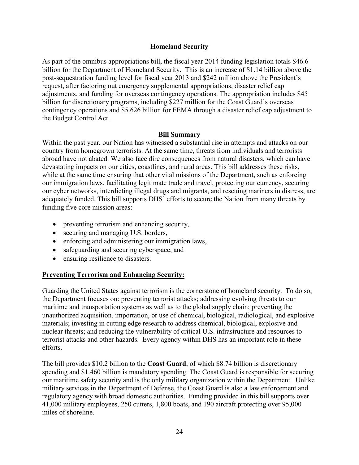#### **Homeland Security**

As part of the omnibus appropriations bill, the fiscal year 2014 funding legislation totals \$46.6 billion for the Department of Homeland Security. This is an increase of \$1.14 billion above the post-sequestration funding level for fiscal year 2013 and \$242 million above the President's request, after factoring out emergency supplemental appropriations, disaster relief cap adjustments, and funding for overseas contingency operations. The appropriation includes \$45 billion for discretionary programs, including \$227 million for the Coast Guard's overseas contingency operations and \$5.626 billion for FEMA through a disaster relief cap adjustment to the Budget Control Act.

#### **Bill Summary**

Within the past year, our Nation has witnessed a substantial rise in attempts and attacks on our country from homegrown terrorists. At the same time, threats from individuals and terrorists abroad have not abated. We also face dire consequences from natural disasters, which can have devastating impacts on our cities, coastlines, and rural areas. This bill addresses these risks, while at the same time ensuring that other vital missions of the Department, such as enforcing our immigration laws, facilitating legitimate trade and travel, protecting our currency, securing our cyber networks, interdicting illegal drugs and migrants, and rescuing mariners in distress, are adequately funded. This bill supports DHS' efforts to secure the Nation from many threats by funding five core mission areas:

- $\bullet$  preventing terrorism and enhancing security,
- securing and managing U.S. borders,
- $\bullet$  enforcing and administering our immigration laws,
- safeguarding and securing cyberspace, and
- ensuring resilience to disasters.

## **Preventing Terrorism and Enhancing Security:**

Guarding the United States against terrorism is the cornerstone of homeland security. To do so, the Department focuses on: preventing terrorist attacks; addressing evolving threats to our maritime and transportation systems as well as to the global supply chain; preventing the unauthorized acquisition, importation, or use of chemical, biological, radiological, and explosive materials; investing in cutting edge research to address chemical, biological, explosive and nuclear threats; and reducing the vulnerability of critical U.S. infrastructure and resources to terrorist attacks and other hazards. Every agency within DHS has an important role in these efforts.

The bill provides \$10.2 billion to the **Coast Guard**, of which \$8.74 billion is discretionary spending and \$1.460 billion is mandatory spending. The Coast Guard is responsible for securing our maritime safety security and is the only military organization within the Department. Unlike military services in the Department of Defense, the Coast Guard is also a law enforcement and regulatory agency with broad domestic authorities. Funding provided in this bill supports over 41,000 military employees, 250 cutters, 1,800 boats, and 190 aircraft protecting over 95,000 miles of shoreline.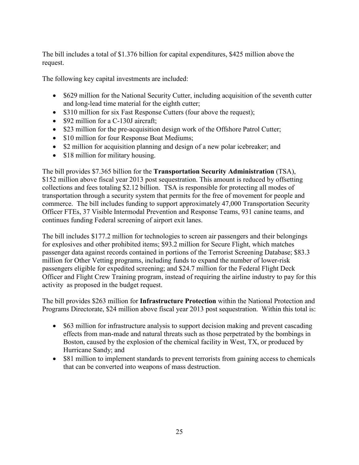The bill includes a total of \$1.376 billion for capital expenditures, \$425 million above the request.

The following key capital investments are included:

- \$629 million for the National Security Cutter, including acquisition of the seventh cutter and long-lead time material for the eighth cutter;
- \$310 million for six Fast Response Cutters (four above the request);
- \$92 million for a C-130J aircraft;
- \$23 million for the pre-acquisition design work of the Offshore Patrol Cutter;
- \$10 million for four Response Boat Mediums;
- \$2 million for acquisition planning and design of a new polar icebreaker; and
- $\bullet$  \$18 million for military housing.

The bill provides \$7.365 billion for the **Transportation Security Administration** (TSA), \$152 million above fiscal year 2013 post sequestration. This amount is reduced by offsetting collections and fees totaling \$2.12 billion. TSA is responsible for protecting all modes of transportation through a security system that permits for the free of movement for people and commerce. The bill includes funding to support approximately 47,000 Transportation Security Officer FTEs, 37 Visible Intermodal Prevention and Response Teams, 931 canine teams, and continues funding Federal screening of airport exit lanes.

The bill includes \$177.2 million for technologies to screen air passengers and their belongings for explosives and other prohibited items; \$93.2 million for Secure Flight, which matches passenger data against records contained in portions of the Terrorist Screening Database; \$83.3 million for Other Vetting programs, including funds to expand the number of lower-risk passengers eligible for expedited screening; and \$24.7 million for the Federal Flight Deck Officer and Flight Crew Training program, instead of requiring the airline industry to pay for this activity as proposed in the budget request.

The bill provides \$263 million for **Infrastructure Protection** within the National Protection and Programs Directorate, \$24 million above fiscal year 2013 post sequestration. Within this total is:

- \$63 million for infrastructure analysis to support decision making and prevent cascading effects from man-made and natural threats such as those perpetrated by the bombings in Boston, caused by the explosion of the chemical facility in West, TX, or produced by Hurricane Sandy; and
- \$81 million to implement standards to prevent terrorists from gaining access to chemicals that can be converted into weapons of mass destruction.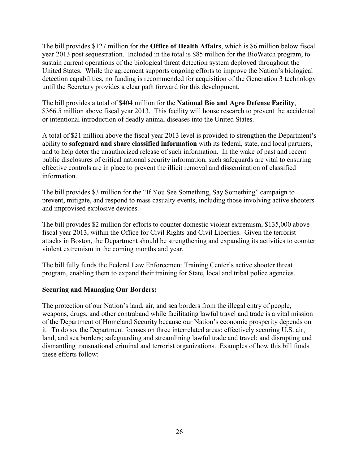The bill provides \$127 million for the **Office of Health Affairs**, which is \$6 million below fiscal year 2013 post sequestration. Included in the total is \$85 million for the BioWatch program, to sustain current operations of the biological threat detection system deployed throughout the United States. While the agreement supports ongoing efforts to improve the Nation's biological detection capabilities, no funding is recommended for acquisition of the Generation 3 technology until the Secretary provides a clear path forward for this development.

The bill provides a total of \$404 million for the **National Bio and Agro Defense Facility**, \$366.5 million above fiscal year 2013. This facility will house research to prevent the accidental or intentional introduction of deadly animal diseases into the United States.

A total of \$21 million above the fiscal year 2013 level is provided to strengthen the Department's ability to **safeguard and share classified information** with its federal, state, and local partners, and to help deter the unauthorized release of such information. In the wake of past and recent public disclosures of critical national security information, such safeguards are vital to ensuring effective controls are in place to prevent the illicit removal and dissemination of classified information.

The bill provides \$3 million for the "If You See Something, Say Something" campaign to prevent, mitigate, and respond to mass casualty events, including those involving active shooters and improvised explosive devices.

The bill provides \$2 million for efforts to counter domestic violent extremism, \$135,000 above fiscal year 2013, within the Office for Civil Rights and Civil Liberties. Given the terrorist attacks in Boston, the Department should be strengthening and expanding its activities to counter violent extremism in the coming months and year.

The bill fully funds the Federal Law Enforcement Training Center's active shooter threat program, enabling them to expand their training for State, local and tribal police agencies.

## **Securing and Managing Our Borders:**

The protection of our Nation's land, air, and sea borders from the illegal entry of people, weapons, drugs, and other contraband while facilitating lawful travel and trade is a vital mission of the Department of Homeland Security because our Nation's economic prosperity depends on it. To do so, the Department focuses on three interrelated areas: effectively securing U.S. air, land, and sea borders; safeguarding and streamlining lawful trade and travel; and disrupting and dismantling transnational criminal and terrorist organizations. Examples of how this bill funds these efforts follow: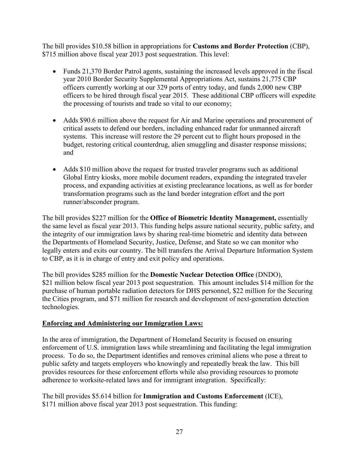The bill provides \$10.58 billion in appropriations for **Customs and Border Protection** (CBP), \$715 million above fiscal year 2013 post sequestration. This level:

- $\bullet$  Funds 21,370 Border Patrol agents, sustaining the increased levels approved in the fiscal year 2010 Border Security Supplemental Appropriations Act, sustains 21,775 CBP officers currently working at our 329 ports of entry today, and funds 2,000 new CBP officers to be hired through fiscal year 2015. These additional CBP officers will expedite the processing of tourists and trade so vital to our economy;
- Adds \$90.6 million above the request for Air and Marine operations and procurement of critical assets to defend our borders, including enhanced radar for unmanned aircraft systems. This increase will restore the 29 percent cut to flight hours proposed in the budget, restoring critical counterdrug, alien smuggling and disaster response missions; and
- Adds \$10 million above the request for trusted traveler programs such as additional Global Entry kiosks, more mobile document readers, expanding the integrated traveler process, and expanding activities at existing preclearance locations, as well as for border transformation programs such as the land border integration effort and the port runner/absconder program.

The bill provides \$227 million for the **Office of Biometric Identity Management,** essentially the same level as fiscal year 2013. This funding helps assure national security, public safety, and the integrity of our immigration laws by sharing real-time biometric and identity data between the Departments of Homeland Security, Justice, Defense, and State so we can monitor who legally enters and exits our country. The bill transfers the Arrival Departure Information System to CBP, as it is in charge of entry and exit policy and operations.

The bill provides \$285 million for the **Domestic Nuclear Detection Office** (DNDO), \$21 million below fiscal year 2013 post sequestration. This amount includes \$14 million for the purchase of human portable radiation detectors for DHS personnel, \$22 million for the Securing the Cities program, and \$71 million for research and development of next-generation detection technologies.

# **Enforcing and Administering our Immigration Laws:**

In the area of immigration, the Department of Homeland Security is focused on ensuring enforcement of U.S. immigration laws while streamlining and facilitating the legal immigration process. To do so, the Department identifies and removes criminal aliens who pose a threat to public safety and targets employers who knowingly and repeatedly break the law. This bill provides resources for these enforcement efforts while also providing resources to promote adherence to worksite-related laws and for immigrant integration. Specifically:

The bill provides \$5.614 billion for **Immigration and Customs Enforcement** (ICE), \$171 million above fiscal year 2013 post sequestration. This funding: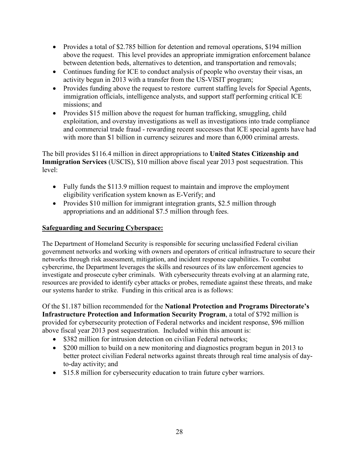- Provides a total of \$2.785 billion for detention and removal operations, \$194 million above the request. This level provides an appropriate immigration enforcement balance between detention beds, alternatives to detention, and transportation and removals;
- Continues funding for ICE to conduct analysis of people who overstay their visas, an activity begun in 2013 with a transfer from the US-VISIT program;
- Provides funding above the request to restore current staffing levels for Special Agents, immigration officials, intelligence analysts, and support staff performing critical ICE missions; and
- Provides \$15 million above the request for human trafficking, smuggling, child exploitation, and overstay investigations as well as investigations into trade compliance and commercial trade fraud - rewarding recent successes that ICE special agents have had with more than \$1 billion in currency seizures and more than 6,000 criminal arrests.

The bill provides \$116.4 million in direct appropriations to **United States Citizenship and Immigration Services** (USCIS), \$10 million above fiscal year 2013 post sequestration. This level:

- $\bullet$  Fully funds the \$113.9 million request to maintain and improve the employment eligibility verification system known as E-Verify; and
- Provides \$10 million for immigrant integration grants, \$2.5 million through appropriations and an additional \$7.5 million through fees.

# **Safeguarding and Securing Cyberspace:**

The Department of Homeland Security is responsible for securing unclassified Federal civilian government networks and working with owners and operators of critical infrastructure to secure their networks through risk assessment, mitigation, and incident response capabilities. To combat cybercrime, the Department leverages the skills and resources of its law enforcement agencies to investigate and prosecute cyber criminals. With cybersecurity threats evolving at an alarming rate, resources are provided to identify cyber attacks or probes, remediate against these threats, and make our systems harder to strike. Funding in this critical area is as follows:

Of the \$1.187 billion recommended for the **National Protection and Programs Directorate's Infrastructure Protection and Information Security Program**, a total of \$792 million is provided for cybersecurity protection of Federal networks and incident response, \$96 million above fiscal year 2013 post sequestration. Included within this amount is:

- \$382 million for intrusion detection on civilian Federal networks;
- \$200 million to build on a new monitoring and diagnostics program begun in 2013 to better protect civilian Federal networks against threats through real time analysis of dayto-day activity; and
- \$15.8 million for cybersecurity education to train future cyber warriors.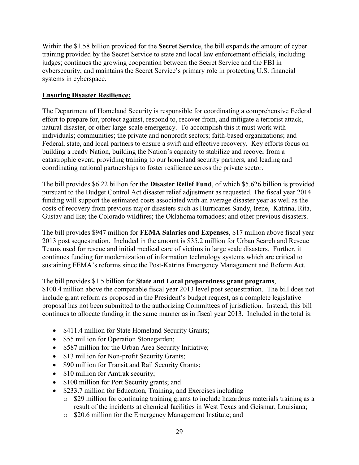Within the \$1.58 billion provided for the **Secret Service**, the bill expands the amount of cyber training provided by the Secret Service to state and local law enforcement officials, including judges; continues the growing cooperation between the Secret Service and the FBI in cybersecurity; and maintains the Secret Service's primary role in protecting U.S. financial systems in cyberspace.

# **Ensuring Disaster Resilience:**

The Department of Homeland Security is responsible for coordinating a comprehensive Federal effort to prepare for, protect against, respond to, recover from, and mitigate a terrorist attack, natural disaster, or other large-scale emergency. To accomplish this it must work with individuals; communities; the private and nonprofit sectors; faith-based organizations; and Federal, state, and local partners to ensure a swift and effective recovery. Key efforts focus on building a ready Nation, building the Nation's capacity to stabilize and recover from a catastrophic event, providing training to our homeland security partners, and leading and coordinating national partnerships to foster resilience across the private sector.

The bill provides \$6.22 billion for the **Disaster Relief Fund**, of which \$5.626 billion is provided pursuant to the Budget Control Act disaster relief adjustment as requested. The fiscal year 2014 funding will support the estimated costs associated with an average disaster year as well as the costs of recovery from previous major disasters such as Hurricanes Sandy, Irene, Katrina, Rita, Gustav and Ike; the Colorado wildfires; the Oklahoma tornadoes; and other previous disasters.

The bill provides \$947 million for **FEMA Salaries and Expenses**, \$17 million above fiscal year 2013 post sequestration. Included in the amount is \$35.2 million for Urban Search and Rescue Teams used for rescue and initial medical care of victims in large scale disasters. Further, it continues funding for modernization of information technology systems which are critical to sustaining FEMA's reforms since the Post-Katrina Emergency Management and Reform Act.

The bill provides \$1.5 billion for **State and Local preparedness grant programs**, \$100.4 million above the comparable fiscal year 2013 level post sequestration. The bill does not include grant reform as proposed in the President's budget request, as a complete legislative proposal has not been submitted to the authorizing Committees of jurisdiction. Instead, this bill continues to allocate funding in the same manner as in fiscal year 2013. Included in the total is:

- \$411.4 million for State Homeland Security Grants;
- \$55 million for Operation Stonegarden;
- \$587 million for the Urban Area Security Initiative;
- \$13 million for Non-profit Security Grants;
- \$90 million for Transit and Rail Security Grants;
- $\bullet$  \$10 million for Amtrak security;
- \$100 million for Port Security grants; and
- \$233.7 million for Education, Training, and Exercises including
	- o \$29 million for continuing training grants to include hazardous materials training as a result of the incidents at chemical facilities in West Texas and Geismar, Louisiana;
	- o \$20.6 million for the Emergency Management Institute; and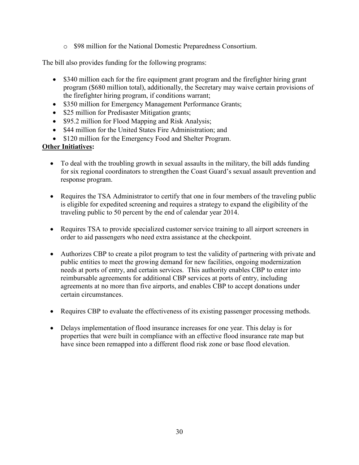o \$98 million for the National Domestic Preparedness Consortium.

The bill also provides funding for the following programs:

- \$340 million each for the fire equipment grant program and the firefighter hiring grant program (\$680 million total), additionally, the Secretary may waive certain provisions of the firefighter hiring program, if conditions warrant;
- \$350 million for Emergency Management Performance Grants;
- \$25 million for Predisaster Mitigation grants;
- \$95.2 million for Flood Mapping and Risk Analysis;
- \$44 million for the United States Fire Administration; and
- \$120 million for the Emergency Food and Shelter Program.

# **Other Initiatives:**

- $\bullet$  To deal with the troubling growth in sexual assaults in the military, the bill adds funding for six regional coordinators to strengthen the Coast Guard's sexual assault prevention and response program.
- Requires the TSA Administrator to certify that one in four members of the traveling public is eligible for expedited screening and requires a strategy to expand the eligibility of the traveling public to 50 percent by the end of calendar year 2014.
- Requires TSA to provide specialized customer service training to all airport screeners in order to aid passengers who need extra assistance at the checkpoint.
- Authorizes CBP to create a pilot program to test the validity of partnering with private and public entities to meet the growing demand for new facilities, ongoing modernization needs at ports of entry, and certain services. This authority enables CBP to enter into reimbursable agreements for additional CBP services at ports of entry, including agreements at no more than five airports, and enables CBP to accept donations under certain circumstances.
- Requires CBP to evaluate the effectiveness of its existing passenger processing methods.
- Delays implementation of flood insurance increases for one year. This delay is for properties that were built in compliance with an effective flood insurance rate map but have since been remapped into a different flood risk zone or base flood elevation.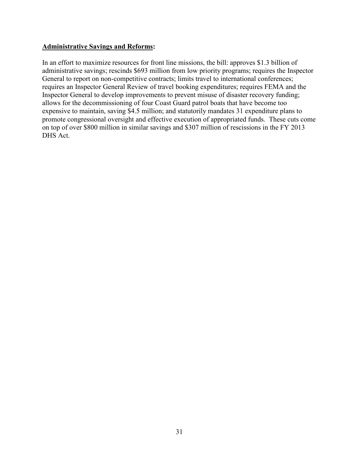#### **Administrative Savings and Reforms:**

In an effort to maximize resources for front line missions, the bill: approves \$1.3 billion of administrative savings; rescinds \$693 million from low priority programs; requires the Inspector General to report on non-competitive contracts; limits travel to international conferences; requires an Inspector General Review of travel booking expenditures; requires FEMA and the Inspector General to develop improvements to prevent misuse of disaster recovery funding; allows for the decommissioning of four Coast Guard patrol boats that have become too expensive to maintain, saving \$4.5 million; and statutorily mandates 31 expenditure plans to promote congressional oversight and effective execution of appropriated funds. These cuts come on top of over \$800 million in similar savings and \$307 million of rescissions in the FY 2013 DHS Act.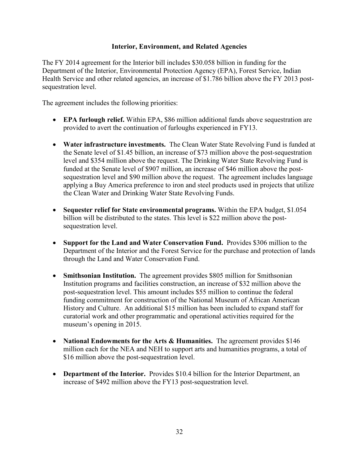#### **Interior, Environment, and Related Agencies**

The FY 2014 agreement for the Interior bill includes \$30.058 billion in funding for the Department of the Interior, Environmental Protection Agency (EPA), Forest Service, Indian Health Service and other related agencies, an increase of \$1.786 billion above the FY 2013 postsequestration level.

The agreement includes the following priorities:

- **EPA furlough relief.** Within EPA, \$86 million additional funds above sequestration are provided to avert the continuation of furloughs experienced in FY13.
- Water infrastructure investments. The Clean Water State Revolving Fund is funded at the Senate level of \$1.45 billion, an increase of \$73 million above the post-sequestration level and \$354 million above the request. The Drinking Water State Revolving Fund is funded at the Senate level of \$907 million, an increase of \$46 million above the postsequestration level and \$90 million above the request. The agreement includes language applying a Buy America preference to iron and steel products used in projects that utilize the Clean Water and Drinking Water State Revolving Funds.
- Sequester relief for State environmental programs. Within the EPA budget, \$1.054 billion will be distributed to the states. This level is \$22 million above the postsequestration level.
- Support for the Land and Water Conservation Fund. Provides \$306 million to the Department of the Interior and the Forest Service for the purchase and protection of lands through the Land and Water Conservation Fund.
- **Smithsonian Institution.** The agreement provides \$805 million for Smithsonian Institution programs and facilities construction, an increase of \$32 million above the post-sequestration level. This amount includes \$55 million to continue the federal funding commitment for construction of the National Museum of African American History and Culture. An additional \$15 million has been included to expand staff for curatorial work and other programmatic and operational activities required for the museum's opening in 2015.
- **National Endowments for the Arts & Humanities.** The agreement provides \$146 million each for the NEA and NEH to support arts and humanities programs, a total of \$16 million above the post-sequestration level.
- **Department of the Interior.** Provides \$10.4 billion for the Interior Department, an increase of \$492 million above the FY13 post-sequestration level.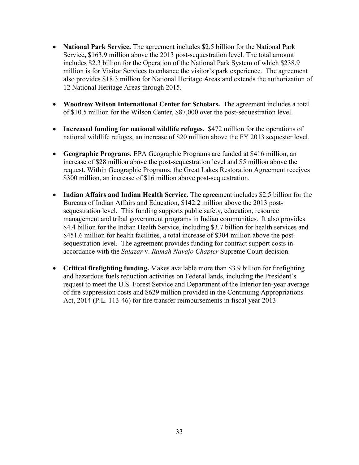- National Park Service. The agreement includes \$2.5 billion for the National Park Service**,** \$163.9 million above the 2013 post-sequestration level. The total amount includes \$2.3 billion for the Operation of the National Park System of which \$238.9 million is for Visitor Services to enhance the visitor's park experience. The agreement also provides \$18.3 million for National Heritage Areas and extends the authorization of 12 National Heritage Areas through 2015.
- Woodrow Wilson International Center for Scholars. The agreement includes a total of \$10.5 million for the Wilson Center, \$87,000 over the post-sequestration level.
- **Increased funding for national wildlife refuges.** \$472 million for the operations of national wildlife refuges, an increase of \$20 million above the FY 2013 sequester level.
- x **Geographic Programs.** EPA Geographic Programs are funded at \$416 million, an increase of \$28 million above the post-sequestration level and \$5 million above the request. Within Geographic Programs, the Great Lakes Restoration Agreement receives \$300 million, an increase of \$16 million above post-sequestration.
- Indian Affairs and Indian Health Service. The agreement includes \$2.5 billion for the Bureaus of Indian Affairs and Education, \$142.2 million above the 2013 postsequestration level. This funding supports public safety, education, resource management and tribal government programs in Indian communities. It also provides \$4.4 billion for the Indian Health Service, including \$3.7 billion for health services and \$451.6 million for health facilities, a total increase of \$304 million above the postsequestration level. The agreement provides funding for contract support costs in accordance with the *Salazar* v. *Ramah Navajo Chapter* Supreme Court decision.
- **Critical firefighting funding.** Makes available more than \$3.9 billion for firefighting and hazardous fuels reduction activities on Federal lands, including the President's request to meet the U.S. Forest Service and Department of the Interior ten-year average of fire suppression costs and \$629 million provided in the Continuing Appropriations Act, 2014 (P.L. 113-46) for fire transfer reimbursements in fiscal year 2013.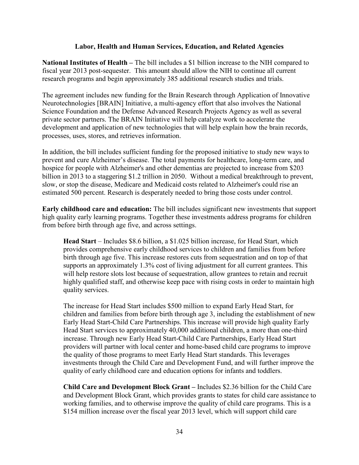#### **Labor, Health and Human Services, Education, and Related Agencies**

**National Institutes of Health –** The bill includes a \$1 billion increase to the NIH compared to fiscal year 2013 post-sequester. This amount should allow the NIH to continue all current research programs and begin approximately 385 additional research studies and trials.

The agreement includes new funding for the Brain Research through Application of Innovative Neurotechnologies [BRAIN] Initiative, a multi-agency effort that also involves the National Science Foundation and the Defense Advanced Research Projects Agency as well as several private sector partners. The BRAIN Initiative will help catalyze work to accelerate the development and application of new technologies that will help explain how the brain records, processes, uses, stores, and retrieves information.

In addition, the bill includes sufficient funding for the proposed initiative to study new ways to prevent and cure Alzheimer's disease. The total payments for healthcare, long-term care, and hospice for people with Alzheimer's and other dementias are projected to increase from \$203 billion in 2013 to a staggering \$1.2 trillion in 2050. Without a medical breakthrough to prevent, slow, or stop the disease, Medicare and Medicaid costs related to Alzheimer's could rise an estimated 500 percent. Research is desperately needed to bring those costs under control.

**Early childhood care and education:** The bill includes significant new investments that support high quality early learning programs. Together these investments address programs for children from before birth through age five, and across settings.

**Head Start** – Includes \$8.6 billion, a \$1.025 billion increase, for Head Start, which provides comprehensive early childhood services to children and families from before birth through age five. This increase restores cuts from sequestration and on top of that supports an approximately 1.3% cost of living adjustment for all current grantees. This will help restore slots lost because of sequestration, allow grantees to retain and recruit highly qualified staff, and otherwise keep pace with rising costs in order to maintain high quality services.

The increase for Head Start includes \$500 million to expand Early Head Start, for children and families from before birth through age 3, including the establishment of new Early Head Start-Child Care Partnerships. This increase will provide high quality Early Head Start services to approximately 40,000 additional children, a more than one-third increase. Through new Early Head Start-Child Care Partnerships, Early Head Start providers will partner with local center and home-based child care programs to improve the quality of those programs to meet Early Head Start standards. This leverages investments through the Child Care and Development Fund, and will further improve the quality of early childhood care and education options for infants and toddlers.

**Child Care and Development Block Grant –** Includes \$2.36 billion for the Child Care and Development Block Grant, which provides grants to states for child care assistance to working families, and to otherwise improve the quality of child care programs. This is a \$154 million increase over the fiscal year 2013 level, which will support child care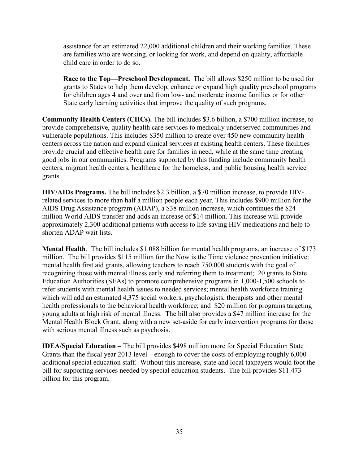assistance for an estimated 22,000 additional children and their working families. These are families who are working, or looking for work, and depend on quality, affordable child care in order to do so.

**Race to the Top—Preschool Development.** The bill allows \$250 million to be used for grants to States to help them develop, enhance or expand high quality preschool programs for children ages 4 and over and from low- and moderate income families or for other State early learning activities that improve the quality of such programs.

**Community Health Centers (CHCs).** The bill includes \$3.6 billion, a \$700 million increase, to provide comprehensive, quality health care services to medically underserved communities and vulnerable populations. This includes \$350 million to create over 450 new community health centers across the nation and expand clinical services at existing health centers. These facilities provide crucial and effective health care for families in need, while at the same time creating good jobs in our communities. Programs supported by this funding include community health centers, migrant health centers, healthcare for the homeless, and public housing health service grants.

**HIV/AIDs Programs.** The bill includes \$2.3 billion, a \$70 million increase, to provide HIVrelated services to more than half a million people each year. This includes \$900 million for the AIDS Drug Assistance program (ADAP), a \$38 million increase, which continues the \$24 million World AIDS transfer and adds an increase of \$14 million. This increase will provide approximately 2,300 additional patients with access to life-saving HIV medications and help to shorten ADAP wait lists.

**Mental Health**. The bill includes \$1.088 billion for mental health programs, an increase of \$173 million. The bill provides \$115 million for the Now is the Time violence prevention initiative: mental health first aid grants, allowing teachers to reach 750,000 students with the goal of recognizing those with mental illness early and referring them to treatment; 20 grants to State Education Authorities (SEAs) to promote comprehensive programs in 1,000-1,500 schools to refer students with mental health issues to needed services; mental health workforce training which will add an estimated 4,375 social workers, psychologists, therapists and other mental health professionals to the behavioral health workforce; and \$20 million for programs targeting young adults at high risk of mental illness. The bill also provides a \$47 million increase for the Mental Health Block Grant, along with a new set-aside for early intervention programs for those with serious mental illness such as psychosis.

**IDEA/Special Education –** The bill provides \$498 million more for Special Education State Grants than the fiscal year 2013 level – enough to cover the costs of employing roughly 6,000 additional special education staff. Without this increase, state and local taxpayers would foot the bill for supporting services needed by special education students. The bill provides \$11.473 billion for this program.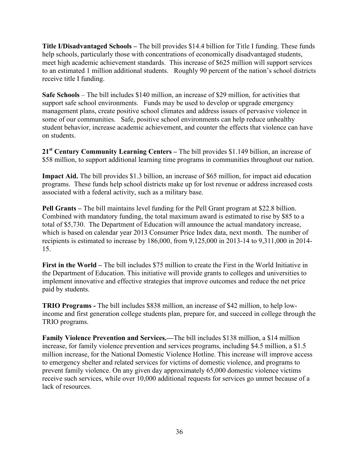**Title I/Disadvantaged Schools –** The bill provides \$14.4 billion for Title I funding. These funds help schools, particularly those with concentrations of economically disadvantaged students, meet high academic achievement standards. This increase of \$625 million will support services to an estimated 1 million additional students. Roughly 90 percent of the nation's school districts receive title I funding.

**Safe Schools** – The bill includes \$140 million, an increase of \$29 million, for activities that support safe school environments. Funds may be used to develop or upgrade emergency management plans, create positive school climates and address issues of pervasive violence in some of our communities. Safe, positive school environments can help reduce unhealthy student behavior, increase academic achievement, and counter the effects that violence can have on students.

**21st Century Community Learning Centers –** The bill provides \$1.149 billion, an increase of \$58 million, to support additional learning time programs in communities throughout our nation.

**Impact Aid.** The bill provides \$1.3 billion, an increase of \$65 million, for impact aid education programs. These funds help school districts make up for lost revenue or address increased costs associated with a federal activity, such as a military base.

**Pell Grants –** The bill maintains level funding for the Pell Grant program at \$22.8 billion. Combined with mandatory funding, the total maximum award is estimated to rise by \$85 to a total of \$5,730. The Department of Education will announce the actual mandatory increase, which is based on calendar year 2013 Consumer Price Index data, next month. The number of recipients is estimated to increase by 186,000, from 9,125,000 in 2013-14 to 9,311,000 in 2014- 15.

**First in the World –** The bill includes \$75 million to create the First in the World Initiative in the Department of Education. This initiative will provide grants to colleges and universities to implement innovative and effective strategies that improve outcomes and reduce the net price paid by students.

**TRIO Programs -** The bill includes \$838 million, an increase of \$42 million, to help lowincome and first generation college students plan, prepare for, and succeed in college through the TRIO programs.

**Family Violence Prevention and Services.—**The bill includes \$138 million, a \$14 million increase, for family violence prevention and services programs, including \$4.5 million, a \$1.5 million increase, for the National Domestic Violence Hotline. This increase will improve access to emergency shelter and related services for victims of domestic violence, and programs to prevent family violence. On any given day approximately 65,000 domestic violence victims receive such services, while over 10,000 additional requests for services go unmet because of a lack of resources.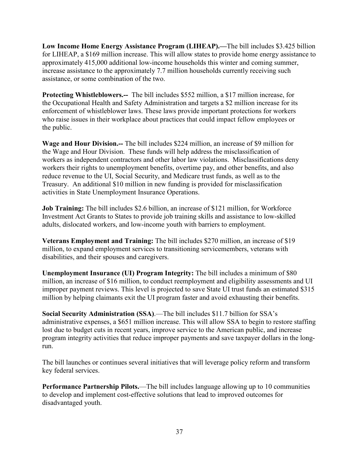**Low Income Home Energy Assistance Program (LIHEAP).—**The bill includes \$3.425 billion for LIHEAP, a \$169 million increase. This will allow states to provide home energy assistance to approximately 415,000 additional low-income households this winter and coming summer, increase assistance to the approximately 7.7 million households currently receiving such assistance, or some combination of the two.

**Protecting Whistleblowers.--** The bill includes \$552 million, a \$17 million increase, for the Occupational Health and Safety Administration and targets a \$2 million increase for its enforcement of whistleblower laws. These laws provide important protections for workers who raise issues in their workplace about practices that could impact fellow employees or the public.

**Wage and Hour Division.--** The bill includes \$224 million, an increase of \$9 million for the Wage and Hour Division. These funds will help address the misclassification of workers as independent contractors and other labor law violations. Misclassifications deny workers their rights to unemployment benefits, overtime pay, and other benefits, and also reduce revenue to the UI, Social Security, and Medicare trust funds, as well as to the Treasury. An additional \$10 million in new funding is provided for misclassification activities in State Unemployment Insurance Operations.

**Job Training:** The bill includes \$2.6 billion, an increase of \$121 million, for Workforce Investment Act Grants to States to provide job training skills and assistance to low-skilled adults, dislocated workers, and low-income youth with barriers to employment.

**Veterans Employment and Training:** The bill includes \$270 million, an increase of \$19 million, to expand employment services to transitioning servicemembers, veterans with disabilities, and their spouses and caregivers.

**Unemployment Insurance (UI) Program Integrity:** The bill includes a minimum of \$80 million, an increase of \$16 million, to conduct reemployment and eligibility assessments and UI improper payment reviews. This level is projected to save State UI trust funds an estimated \$315 million by helping claimants exit the UI program faster and avoid exhausting their benefits.

**Social Security Administration (SSA)**.—The bill includes \$11.7 billion for SSA's administrative expenses, a \$651 million increase. This will allow SSA to begin to restore staffing lost due to budget cuts in recent years, improve service to the American public, and increase program integrity activities that reduce improper payments and save taxpayer dollars in the longrun.

The bill launches or continues several initiatives that will leverage policy reform and transform key federal services.

**Performance Partnership Pilots.**—The bill includes language allowing up to 10 communities to develop and implement cost-effective solutions that lead to improved outcomes for disadvantaged youth.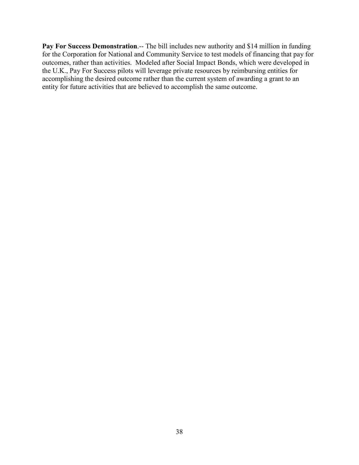Pay For Success Demonstration.-- The bill includes new authority and \$14 million in funding for the Corporation for National and Community Service to test models of financing that pay for outcomes, rather than activities. Modeled after Social Impact Bonds, which were developed in the U.K., Pay For Success pilots will leverage private resources by reimbursing entities for accomplishing the desired outcome rather than the current system of awarding a grant to an entity for future activities that are believed to accomplish the same outcome.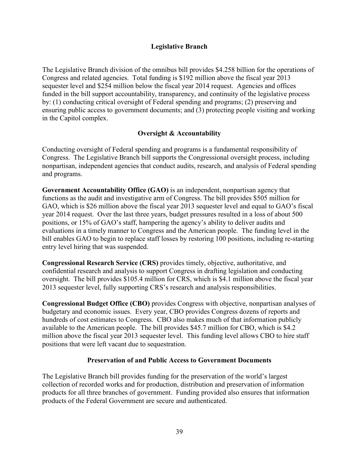#### **Legislative Branch**

The Legislative Branch division of the omnibus bill provides \$4.258 billion for the operations of Congress and related agencies. Total funding is \$192 million above the fiscal year 2013 sequester level and \$254 million below the fiscal year 2014 request. Agencies and offices funded in the bill support accountability, transparency, and continuity of the legislative process by: (1) conducting critical oversight of Federal spending and programs; (2) preserving and ensuring public access to government documents; and (3) protecting people visiting and working in the Capitol complex.

## **Oversight & Accountability**

Conducting oversight of Federal spending and programs is a fundamental responsibility of Congress. The Legislative Branch bill supports the Congressional oversight process, including nonpartisan, independent agencies that conduct audits, research, and analysis of Federal spending and programs.

**Government Accountability Office (GAO)** is an independent, nonpartisan agency that functions as the audit and investigative arm of Congress. The bill provides \$505 million for GAO, which is \$26 million above the fiscal year 2013 sequester level and equal to GAO's fiscal year 2014 request. Over the last three years, budget pressures resulted in a loss of about 500 positions, or 15% of GAO's staff, hampering the agency's ability to deliver audits and evaluations in a timely manner to Congress and the American people. The funding level in the bill enables GAO to begin to replace staff losses by restoring 100 positions, including re-starting entry level hiring that was suspended.

**Congressional Research Service (CRS)** provides timely, objective, authoritative, and confidential research and analysis to support Congress in drafting legislation and conducting oversight. The bill provides \$105.4 million for CRS, which is \$4.1 million above the fiscal year 2013 sequester level, fully supporting CRS's research and analysis responsibilities.

**Congressional Budget Office (CBO)** provides Congress with objective, nonpartisan analyses of budgetary and economic issues. Every year, CBO provides Congress dozens of reports and hundreds of cost estimates to Congress. CBO also makes much of that information publicly available to the American people. The bill provides \$45.7 million for CBO, which is \$4.2 million above the fiscal year 2013 sequester level. This funding level allows CBO to hire staff positions that were left vacant due to sequestration.

#### **Preservation of and Public Access to Government Documents**

The Legislative Branch bill provides funding for the preservation of the world's largest collection of recorded works and for production, distribution and preservation of information products for all three branches of government. Funding provided also ensures that information products of the Federal Government are secure and authenticated.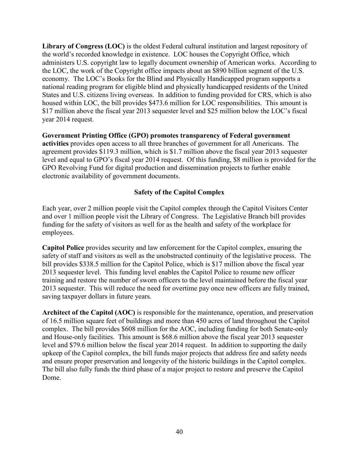**Library of Congress (LOC)** is the oldest Federal cultural institution and largest repository of the world's recorded knowledge in existence. LOC houses the Copyright Office, which administers U.S. copyright law to legally document ownership of American works. According to the LOC, the work of the Copyright office impacts about an \$890 billion segment of the U.S. economy. The LOC's Books for the Blind and Physically Handicapped program supports a national reading program for eligible blind and physically handicapped residents of the United States and U.S. citizens living overseas. In addition to funding provided for CRS, which is also housed within LOC, the bill provides \$473.6 million for LOC responsibilities. This amount is \$17 million above the fiscal year 2013 sequester level and \$25 million below the LOC's fiscal year 2014 request.

**Government Printing Office (GPO) promotes transparency of Federal government activities** provides open access to all three branches of government for all Americans. The agreement provides \$119.3 million, which is \$1.7 million above the fiscal year 2013 sequester level and equal to GPO's fiscal year 2014 request. Of this funding, \$8 million is provided for the GPO Revolving Fund for digital production and dissemination projects to further enable electronic availability of government documents.

# **Safety of the Capitol Complex**

Each year, over 2 million people visit the Capitol complex through the Capitol Visitors Center and over 1 million people visit the Library of Congress. The Legislative Branch bill provides funding for the safety of visitors as well for as the health and safety of the workplace for employees.

**Capitol Police** provides security and law enforcement for the Capitol complex, ensuring the safety of staff and visitors as well as the unobstructed continuity of the legislative process. The bill provides \$338.5 million for the Capitol Police, which is \$17 million above the fiscal year 2013 sequester level. This funding level enables the Capitol Police to resume new officer training and restore the number of sworn officers to the level maintained before the fiscal year 2013 sequester. This will reduce the need for overtime pay once new officers are fully trained, saving taxpayer dollars in future years.

**Architect of the Capitol (AOC)** is responsible for the maintenance, operation, and preservation of 16.5 million square feet of buildings and more than 450 acres of land throughout the Capitol complex. The bill provides \$608 million for the AOC, including funding for both Senate-only and House-only facilities. This amount is \$68.6 million above the fiscal year 2013 sequester level and \$79.6 million below the fiscal year 2014 request. In addition to supporting the daily upkeep of the Capitol complex, the bill funds major projects that address fire and safety needs and ensure proper preservation and longevity of the historic buildings in the Capitol complex. The bill also fully funds the third phase of a major project to restore and preserve the Capitol Dome.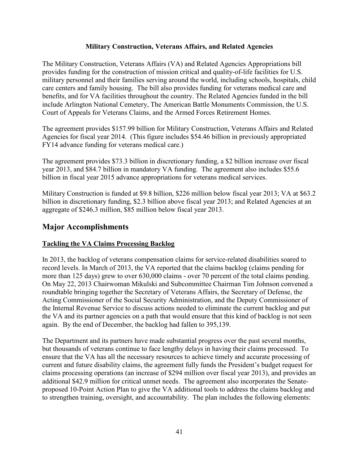#### **Military Construction, Veterans Affairs, and Related Agencies**

The Military Construction, Veterans Affairs (VA) and Related Agencies Appropriations bill provides funding for the construction of mission critical and quality-of-life facilities for U.S. military personnel and their families serving around the world, including schools, hospitals, child care centers and family housing. The bill also provides funding for veterans medical care and benefits, and for VA facilities throughout the country. The Related Agencies funded in the bill include Arlington National Cemetery, The American Battle Monuments Commission, the U.S. Court of Appeals for Veterans Claims, and the Armed Forces Retirement Homes.

The agreement provides \$157.99 billion for Military Construction, Veterans Affairs and Related Agencies for fiscal year 2014. (This figure includes \$54.46 billion in previously appropriated FY14 advance funding for veterans medical care.)

The agreement provides \$73.3 billion in discretionary funding, a \$2 billion increase over fiscal year 2013, and \$84.7 billion in mandatory VA funding. The agreement also includes \$55.6 billion in fiscal year 2015 advance appropriations for veterans medical services.

Military Construction is funded at \$9.8 billion, \$226 million below fiscal year 2013; VA at \$63.2 billion in discretionary funding, \$2.3 billion above fiscal year 2013; and Related Agencies at an aggregate of \$246.3 million, \$85 million below fiscal year 2013.

# **Major Accomplishments**

## **Tackling the VA Claims Processing Backlog**

In 2013, the backlog of veterans compensation claims for service-related disabilities soared to record levels. In March of 2013, the VA reported that the claims backlog (claims pending for more than 125 days) grew to over 630,000 claims - over 70 percent of the total claims pending. On May 22, 2013 Chairwoman Mikulski and Subcommittee Chairman Tim Johnson convened a roundtable bringing together the Secretary of Veterans Affairs, the Secretary of Defense, the Acting Commissioner of the Social Security Administration, and the Deputy Commissioner of the Internal Revenue Service to discuss actions needed to eliminate the current backlog and put the VA and its partner agencies on a path that would ensure that this kind of backlog is not seen again. By the end of December, the backlog had fallen to 395,139.

The Department and its partners have made substantial progress over the past several months, but thousands of veterans continue to face lengthy delays in having their claims processed. To ensure that the VA has all the necessary resources to achieve timely and accurate processing of current and future disability claims, the agreement fully funds the President's budget request for claims processing operations (an increase of \$294 million over fiscal year 2013), and provides an additional \$42.9 million for critical unmet needs. The agreement also incorporates the Senateproposed 10-Point Action Plan to give the VA additional tools to address the claims backlog and to strengthen training, oversight, and accountability. The plan includes the following elements: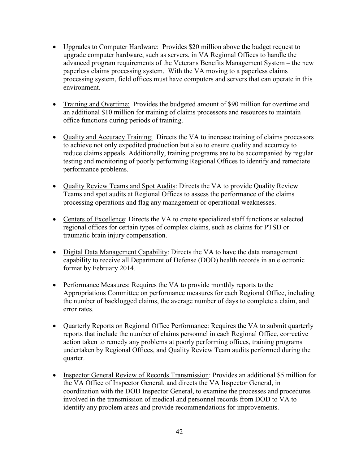- Upgrades to Computer Hardware: Provides \$20 million above the budget request to upgrade computer hardware, such as servers, in VA Regional Offices to handle the advanced program requirements of the Veterans Benefits Management System – the new paperless claims processing system. With the VA moving to a paperless claims processing system, field offices must have computers and servers that can operate in this environment.
- Training and Overtime: Provides the budgeted amount of \$90 million for overtime and an additional \$10 million for training of claims processors and resources to maintain office functions during periods of training.
- Quality and Accuracy Training: Directs the VA to increase training of claims processors to achieve not only expedited production but also to ensure quality and accuracy to reduce claims appeals. Additionally, training programs are to be accompanied by regular testing and monitoring of poorly performing Regional Offices to identify and remediate performance problems.
- Quality Review Teams and Spot Audits: Directs the VA to provide Quality Review Teams and spot audits at Regional Offices to assess the performance of the claims processing operations and flag any management or operational weaknesses.
- Centers of Excellence: Directs the VA to create specialized staff functions at selected regional offices for certain types of complex claims, such as claims for PTSD or traumatic brain injury compensation.
- Digital Data Management Capability: Directs the VA to have the data management capability to receive all Department of Defense (DOD) health records in an electronic format by February 2014.
- Performance Measures: Requires the VA to provide monthly reports to the Appropriations Committee on performance measures for each Regional Office, including the number of backlogged claims, the average number of days to complete a claim, and error rates.
- Quarterly Reports on Regional Office Performance: Requires the VA to submit quarterly reports that include the number of claims personnel in each Regional Office, corrective action taken to remedy any problems at poorly performing offices, training programs undertaken by Regional Offices, and Quality Review Team audits performed during the quarter.
- Inspector General Review of Records Transmission: Provides an additional \$5 million for the VA Office of Inspector General, and directs the VA Inspector General, in coordination with the DOD Inspector General, to examine the processes and procedures involved in the transmission of medical and personnel records from DOD to VA to identify any problem areas and provide recommendations for improvements.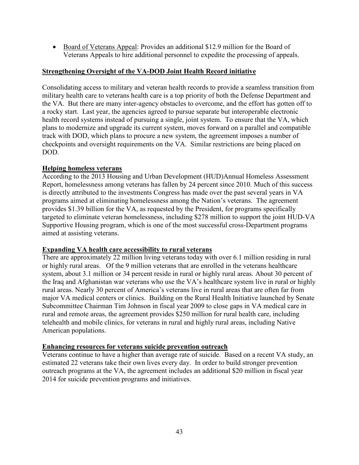• Board of Veterans Appeal: Provides an additional \$12.9 million for the Board of Veterans Appeals to hire additional personnel to expedite the processing of appeals.

#### **Strengthening Oversight of the VA-DOD Joint Health Record initiative**

Consolidating access to military and veteran health records to provide a seamless transition from military health care to veterans health care is a top priority of both the Defense Department and the VA. But there are many inter-agency obstacles to overcome, and the effort has gotten off to a rocky start. Last year, the agencies agreed to pursue separate but interoperable electronic health record systems instead of pursuing a single, joint system. To ensure that the VA, which plans to modernize and upgrade its current system, moves forward on a parallel and compatible track with DOD, which plans to procure a new system, the agreement imposes a number of checkpoints and oversight requirements on the VA. Similar restrictions are being placed on DOD.

#### **Helping homeless veterans**

According to the 2013 Housing and Urban Development (HUD)Annual Homeless Assessment Report, homelessness among veterans has fallen by 24 percent since 2010. Much of this success is directly attributed to the investments Congress has made over the past several years in VA programs aimed at eliminating homelessness among the Nation's veterans. The agreement provides \$1.39 billion for the VA, as requested by the President, for programs specifically targeted to eliminate veteran homelessness, including \$278 million to support the joint HUD-VA Supportive Housing program, which is one of the most successful cross-Department programs aimed at assisting veterans.

#### **Expanding VA health care accessibility to rural veterans**

There are approximately 22 million living veterans today with over 6.1 million residing in rural or highly rural areas. Of the 9 million veterans that are enrolled in the veterans healthcare system, about 3.1 million or 34 percent reside in rural or highly rural areas. About 30 percent of the Iraq and Afghanistan war veterans who use the VA's healthcare system live in rural or highly rural areas. Nearly 30 percent of America's veterans live in rural areas that are often far from major VA medical centers or clinics. Building on the Rural Health Initiative launched by Senate Subcommittee Chairman Tim Johnson in fiscal year 2009 to close gaps in VA medical care in rural and remote areas, the agreement provides \$250 million for rural health care, including telehealth and mobile clinics, for veterans in rural and highly rural areas, including Native American populations.

#### **Enhancing resources for veterans suicide prevention outreach**

Veterans continue to have a higher than average rate of suicide. Based on a recent VA study, an estimated 22 veterans take their own lives every day. In order to build stronger prevention outreach programs at the VA, the agreement includes an additional \$20 million in fiscal year 2014 for suicide prevention programs and initiatives.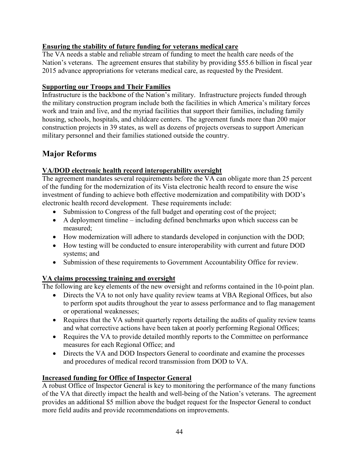# **Ensuring the stability of future funding for veterans medical care**

The VA needs a stable and reliable stream of funding to meet the health care needs of the Nation's veterans. The agreement ensures that stability by providing \$55.6 billion in fiscal year 2015 advance appropriations for veterans medical care, as requested by the President.

# **Supporting our Troops and Their Families**

Infrastructure is the backbone of the Nation's military. Infrastructure projects funded through the military construction program include both the facilities in which America's military forces work and train and live, and the myriad facilities that support their families, including family housing, schools, hospitals, and childcare centers. The agreement funds more than 200 major construction projects in 39 states, as well as dozens of projects overseas to support American military personnel and their families stationed outside the country.

# **Major Reforms**

# **VA/DOD electronic health record interoperability oversight**

The agreement mandates several requirements before the VA can obligate more than 25 percent of the funding for the modernization of its Vista electronic health record to ensure the wise investment of funding to achieve both effective modernization and compatibility with DOD's electronic health record development. These requirements include:

- Submission to Congress of the full budget and operating cost of the project;
- $\bullet$  A deployment timeline including defined benchmarks upon which success can be measured;
- $\bullet$  How modernization will adhere to standards developed in conjunction with the DOD;
- How testing will be conducted to ensure interoperability with current and future DOD systems; and
- Submission of these requirements to Government Accountability Office for review.

# **VA claims processing training and oversight**

The following are key elements of the new oversight and reforms contained in the 10-point plan.

- Directs the VA to not only have quality review teams at VBA Regional Offices, but also to perform spot audits throughout the year to assess performance and to flag management or operational weaknesses;
- Requires that the VA submit quarterly reports detailing the audits of quality review teams and what corrective actions have been taken at poorly performing Regional Offices;
- Requires the VA to provide detailed monthly reports to the Committee on performance measures for each Regional Office; and
- Directs the VA and DOD Inspectors General to coordinate and examine the processes and procedures of medical record transmission from DOD to VA.

# **Increased funding for Office of Inspector General**

A robust Office of Inspector General is key to monitoring the performance of the many functions of the VA that directly impact the health and well-being of the Nation's veterans. The agreement provides an additional \$5 million above the budget request for the Inspector General to conduct more field audits and provide recommendations on improvements.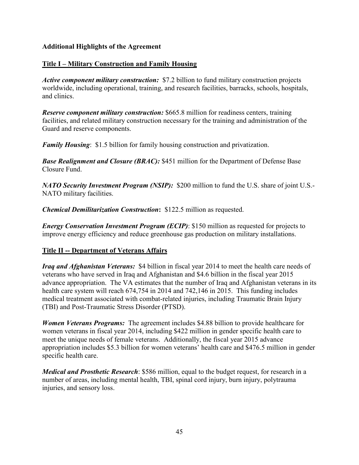## **Additional Highlights of the Agreement**

#### **Title I – Military Construction and Family Housing**

*Active component military construction:* \$7.2 billion to fund military construction projects worldwide, including operational, training, and research facilities, barracks, schools, hospitals, and clinics.

*Reserve component military construction:* \$665.8 million for readiness centers, training facilities, and related military construction necessary for the training and administration of the Guard and reserve components.

*Family Housing*: \$1.5 billion for family housing construction and privatization.

*Base Realignment and Closure (BRAC):* \$451 million for the Department of Defense Base Closure Fund.

*NATO Security Investment Program (NSIP):* \$200 million to fund the U.S. share of joint U.S.- NATO military facilities.

*Chemical Demilitarization Construction***:** \$122.5 million as requested.

*Energy Conservation Investment Program (ECIP)*: \$150 million as requested for projects to improve energy efficiency and reduce greenhouse gas production on military installations.

## **Title II -- Department of Veterans Affairs**

*Iraq and Afghanistan Veterans:* \$4 billion in fiscal year 2014 to meet the health care needs of veterans who have served in Iraq and Afghanistan and \$4.6 billion in the fiscal year 2015 advance appropriation. The VA estimates that the number of Iraq and Afghanistan veterans in its health care system will reach 674,754 in 2014 and 742,146 in 2015. This funding includes medical treatment associated with combat-related injuries, including Traumatic Brain Injury (TBI) and Post-Traumatic Stress Disorder (PTSD).

*Women Veterans Programs:* The agreement includes \$4.88 billion to provide healthcare for women veterans in fiscal year 2014, including \$422 million in gender specific health care to meet the unique needs of female veterans. Additionally, the fiscal year 2015 advance appropriation includes \$5.3 billion for women veterans' health care and \$476.5 million in gender specific health care.

*Medical and Prosthetic Research*: \$586 million, equal to the budget request, for research in a number of areas, including mental health, TBI, spinal cord injury, burn injury, polytrauma injuries, and sensory loss.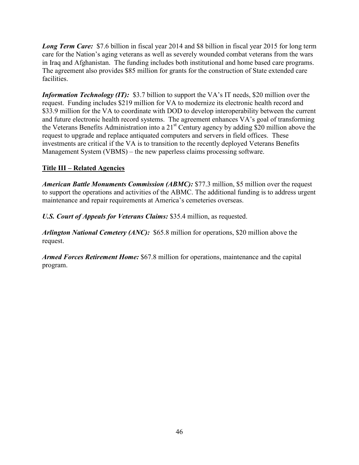*Long Term Care:* \$7.6 billion in fiscal year 2014 and \$8 billion in fiscal year 2015 for long term care for the Nation's aging veterans as well as severely wounded combat veterans from the wars in Iraq and Afghanistan. The funding includes both institutional and home based care programs. The agreement also provides \$85 million for grants for the construction of State extended care facilities.

*Information Technology (IT):* \$3.7 billion to support the VA's IT needs, \$20 million over the request. Funding includes \$219 million for VA to modernize its electronic health record and \$33.9 million for the VA to coordinate with DOD to develop interoperability between the current and future electronic health record systems. The agreement enhances VA's goal of transforming the Veterans Benefits Administration into a 21st Century agency by adding \$20 million above the request to upgrade and replace antiquated computers and servers in field offices. These investments are critical if the VA is to transition to the recently deployed Veterans Benefits Management System (VBMS) – the new paperless claims processing software.

# **Title III – Related Agencies**

*American Battle Monuments Commission (ABMC):* \$77.3 million, \$5 million over the request to support the operations and activities of the ABMC. The additional funding is to address urgent maintenance and repair requirements at America's cemeteries overseas.

*U.S. Court of Appeals for Veterans Claims:* \$35.4 million, as requested.

*Arlington National Cemetery (ANC):* \$65.8 million for operations, \$20 million above the request.

*Armed Forces Retirement Home:* \$67.8 million for operations, maintenance and the capital program.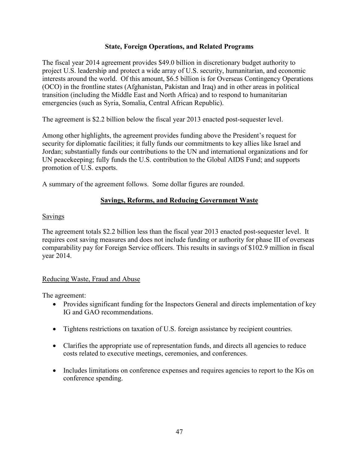#### **State, Foreign Operations, and Related Programs**

The fiscal year 2014 agreement provides \$49.0 billion in discretionary budget authority to project U.S. leadership and protect a wide array of U.S. security, humanitarian, and economic interests around the world. Of this amount, \$6.5 billion is for Overseas Contingency Operations (OCO) in the frontline states (Afghanistan, Pakistan and Iraq) and in other areas in political transition (including the Middle East and North Africa) and to respond to humanitarian emergencies (such as Syria, Somalia, Central African Republic).

The agreement is \$2.2 billion below the fiscal year 2013 enacted post-sequester level.

Among other highlights, the agreement provides funding above the President's request for security for diplomatic facilities; it fully funds our commitments to key allies like Israel and Jordan; substantially funds our contributions to the UN and international organizations and for UN peacekeeping; fully funds the U.S. contribution to the Global AIDS Fund; and supports promotion of U.S. exports.

A summary of the agreement follows. Some dollar figures are rounded.

## **Savings, Reforms, and Reducing Government Waste**

#### Savings

The agreement totals \$2.2 billion less than the fiscal year 2013 enacted post-sequester level. It requires cost saving measures and does not include funding or authority for phase III of overseas comparability pay for Foreign Service officers. This results in savings of \$102.9 million in fiscal year 2014.

## Reducing Waste, Fraud and Abuse

The agreement:

- Provides significant funding for the Inspectors General and directs implementation of key IG and GAO recommendations.
- Tightens restrictions on taxation of U.S. foreign assistance by recipient countries.
- Clarifies the appropriate use of representation funds, and directs all agencies to reduce costs related to executive meetings, ceremonies, and conferences.
- Includes limitations on conference expenses and requires agencies to report to the IGs on conference spending.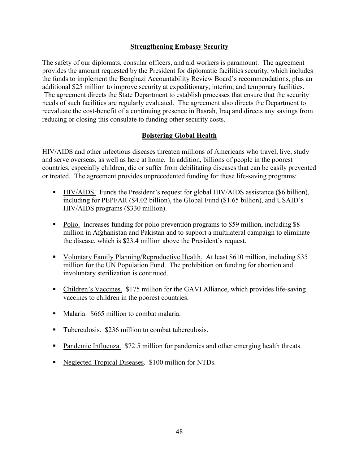#### **Strengthening Embassy Security**

The safety of our diplomats, consular officers, and aid workers is paramount. The agreement provides the amount requested by the President for diplomatic facilities security, which includes the funds to implement the Benghazi Accountability Review Board's recommendations, plus an additional \$25 million to improve security at expeditionary, interim, and temporary facilities. The agreement directs the State Department to establish processes that ensure that the security needs of such facilities are regularly evaluated. The agreement also directs the Department to reevaluate the cost-benefit of a continuing presence in Basrah, Iraq and directs any savings from reducing or closing this consulate to funding other security costs.

#### **Bolstering Global Health**

HIV/AIDS and other infectious diseases threaten millions of Americans who travel, live, study and serve overseas, as well as here at home. In addition, billions of people in the poorest countries, especially children, die or suffer from debilitating diseases that can be easily prevented or treated. The agreement provides unprecedented funding for these life-saving programs:

- HIV/AIDS. Funds the President's request for global HIV/AIDS assistance (\$6 billion), including for PEPFAR (\$4.02 billion), the Global Fund (\$1.65 billion), and USAID's HIV/AIDS programs (\$330 million).
- Polio. Increases funding for polio prevention programs to \$59 million, including \$8 million in Afghanistan and Pakistan and to support a multilateral campaign to eliminate the disease, which is \$23.4 million above the President's request.
- Voluntary Family Planning/Reproductive Health. At least \$610 million, including \$35 million for the UN Population Fund. The prohibition on funding for abortion and involuntary sterilization is continued.
- Children's Vaccines. \$175 million for the GAVI Alliance, which provides life-saving vaccines to children in the poorest countries.
- Malaria. \$665 million to combat malaria.
- Tuberculosis. \$236 million to combat tuberculosis.
- **Pandemic Influenza.** \$72.5 million for pandemics and other emerging health threats.
- Neglected Tropical Diseases. \$100 million for NTDs.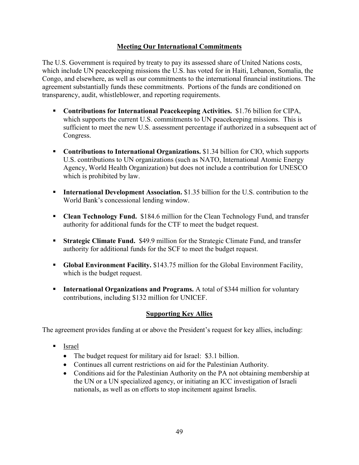## **Meeting Our International Commitments**

The U.S. Government is required by treaty to pay its assessed share of United Nations costs, which include UN peacekeeping missions the U.S. has voted for in Haiti, Lebanon, Somalia, the Congo, and elsewhere, as well as our commitments to the international financial institutions. The agreement substantially funds these commitments. Portions of the funds are conditioned on transparency, audit, whistleblower, and reporting requirements.

- **Contributions for International Peacekeeping Activities.** \$1.76 billion for CIPA, which supports the current U.S. commitments to UN peacekeeping missions. This is sufficient to meet the new U.S. assessment percentage if authorized in a subsequent act of Congress.
- **Contributions to International Organizations.** \$1.34 billion for CIO, which supports U.S. contributions to UN organizations (such as NATO, International Atomic Energy Agency, World Health Organization) but does not include a contribution for UNESCO which is prohibited by law.
- **International Development Association.** \$1.35 billion for the U.S. contribution to the World Bank's concessional lending window.
- **Clean Technology Fund.** \$184.6 million for the Clean Technology Fund, and transfer authority for additional funds for the CTF to meet the budget request.
- **Strategic Climate Fund.** \$49.9 million for the Strategic Climate Fund, and transfer authority for additional funds for the SCF to meet the budget request.
- **Global Environment Facility.** \$143.75 million for the Global Environment Facility, which is the budget request.
- **International Organizations and Programs.** A total of \$344 million for voluntary contributions, including \$132 million for UNICEF.

# **Supporting Key Allies**

The agreement provides funding at or above the President's request for key allies, including:

- Israel
	- The budget request for military aid for Israel: \$3.1 billion.
	- Continues all current restrictions on aid for the Palestinian Authority.
	- Conditions aid for the Palestinian Authority on the PA not obtaining membership at the UN or a UN specialized agency, or initiating an ICC investigation of Israeli nationals, as well as on efforts to stop incitement against Israelis.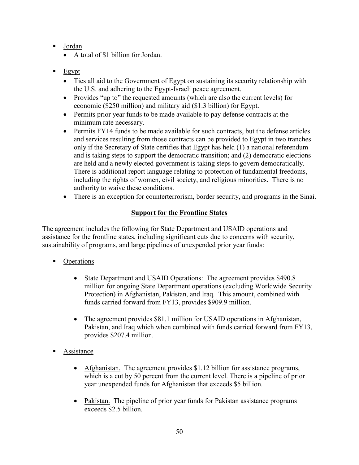- Jordan
	- A total of \$1 billion for Jordan.
- $E$ gypt
	- Ties all aid to the Government of Egypt on sustaining its security relationship with the U.S. and adhering to the Egypt-Israeli peace agreement.
	- Provides "up to" the requested amounts (which are also the current levels) for economic (\$250 million) and military aid (\$1.3 billion) for Egypt.
	- Permits prior year funds to be made available to pay defense contracts at the minimum rate necessary.
	- Permits FY14 funds to be made available for such contracts, but the defense articles and services resulting from those contracts can be provided to Egypt in two tranches only if the Secretary of State certifies that Egypt has held (1) a national referendum and is taking steps to support the democratic transition; and (2) democratic elections are held and a newly elected government is taking steps to govern democratically. There is additional report language relating to protection of fundamental freedoms, including the rights of women, civil society, and religious minorities. There is no authority to waive these conditions.
	- There is an exception for counterterrorism, border security, and programs in the Sinai.

# **Support for the Frontline States**

The agreement includes the following for State Department and USAID operations and assistance for the frontline states, including significant cuts due to concerns with security, sustainability of programs, and large pipelines of unexpended prior year funds:

- Operations
	- State Department and USAID Operations: The agreement provides \$490.8 million for ongoing State Department operations (excluding Worldwide Security Protection) in Afghanistan, Pakistan, and Iraq. This amount, combined with funds carried forward from FY13, provides \$909.9 million.
	- The agreement provides \$81.1 million for USAID operations in Afghanistan, Pakistan, and Iraq which when combined with funds carried forward from FY13, provides \$207.4 million.
- Assistance
	- Afghanistan. The agreement provides \$1.12 billion for assistance programs, which is a cut by 50 percent from the current level. There is a pipeline of prior year unexpended funds for Afghanistan that exceeds \$5 billion.
	- Pakistan. The pipeline of prior year funds for Pakistan assistance programs exceeds \$2.5 billion.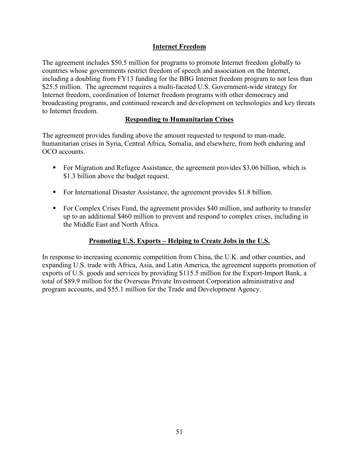# **Internet Freedom**

The agreement includes \$50.5 million for programs to promote Internet freedom globally to countries whose governments restrict freedom of speech and association on the Internet, including a doubling from FY13 funding for the BBG Internet freedom program to not less than \$25.5 million. The agreement requires a multi-faceted U.S. Government-wide strategy for Internet freedom, coordination of Internet freedom programs with other democracy and broadcasting programs, and continued research and development on technologies and key threats to Internet freedom.

# **Responding to Humanitarian Crises**

The agreement provides funding above the amount requested to respond to man-made, humanitarian crises in Syria, Central Africa, Somalia, and elsewhere, from both enduring and OCO accounts.

- For Migration and Refugee Assistance, the agreement provides \$3.06 billion, which is \$1.3 billion above the budget request.
- For International Disaster Assistance, the agreement provides \$1.8 billion.
- For Complex Crises Fund, the agreement provides \$40 million, and authority to transfer up to an additional \$460 million to prevent and respond to complex crises, including in the Middle East and North Africa.

# **Promoting U.S. Exports – Helping to Create Jobs in the U.S.**

In response to increasing economic competition from China, the U.K. and other counties, and expanding U.S. trade with Africa, Asia, and Latin America, the agreement supports promotion of exports of U.S. goods and services by providing \$115.5 million for the Export-Import Bank, a total of \$89.9 million for the Overseas Private Investment Corporation administrative and program accounts, and \$55.1 million for the Trade and Development Agency.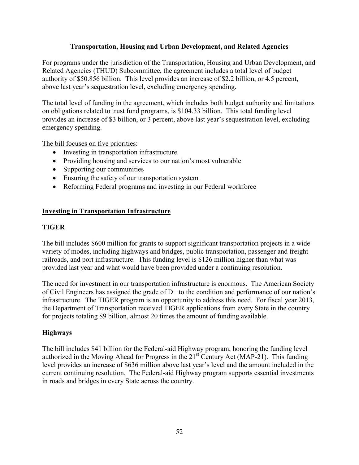#### **Transportation, Housing and Urban Development, and Related Agencies**

For programs under the jurisdiction of the Transportation, Housing and Urban Development, and Related Agencies (THUD) Subcommittee, the agreement includes a total level of budget authority of \$50.856 billion. This level provides an increase of \$2.2 billion, or 4.5 percent, above last year's sequestration level, excluding emergency spending.

The total level of funding in the agreement, which includes both budget authority and limitations on obligations related to trust fund programs, is \$104.33 billion. This total funding level provides an increase of \$3 billion, or 3 percent, above last year's sequestration level, excluding emergency spending.

The bill focuses on five priorities:

- Investing in transportation infrastructure
- Providing housing and services to our nation's most vulnerable
- Supporting our communities
- $\bullet$  Ensuring the safety of our transportation system
- Reforming Federal programs and investing in our Federal workforce

## **Investing in Transportation Infrastructure**

#### **TIGER**

The bill includes \$600 million for grants to support significant transportation projects in a wide variety of modes, including highways and bridges, public transportation, passenger and freight railroads, and port infrastructure. This funding level is \$126 million higher than what was provided last year and what would have been provided under a continuing resolution.

The need for investment in our transportation infrastructure is enormous. The American Society of Civil Engineers has assigned the grade of D+ to the condition and performance of our nation's infrastructure. The TIGER program is an opportunity to address this need. For fiscal year 2013, the Department of Transportation received TIGER applications from every State in the country for projects totaling \$9 billion, almost 20 times the amount of funding available.

#### **Highways**

The bill includes \$41 billion for the Federal-aid Highway program, honoring the funding level authorized in the Moving Ahead for Progress in the 21<sup>st</sup> Century Act (MAP-21). This funding level provides an increase of \$636 million above last year's level and the amount included in the current continuing resolution. The Federal-aid Highway program supports essential investments in roads and bridges in every State across the country.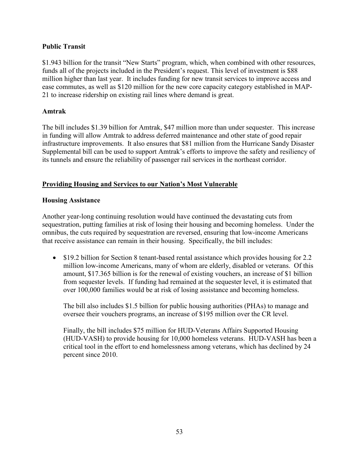## **Public Transit**

\$1.943 billion for the transit "New Starts" program, which, when combined with other resources, funds all of the projects included in the President's request. This level of investment is \$88 million higher than last year. It includes funding for new transit services to improve access and ease commutes, as well as \$120 million for the new core capacity category established in MAP-21 to increase ridership on existing rail lines where demand is great.

## **Amtrak**

The bill includes \$1.39 billion for Amtrak, \$47 million more than under sequester. This increase in funding will allow Amtrak to address deferred maintenance and other state of good repair infrastructure improvements. It also ensures that \$81 million from the Hurricane Sandy Disaster Supplemental bill can be used to support Amtrak's efforts to improve the safety and resiliency of its tunnels and ensure the reliability of passenger rail services in the northeast corridor.

# **Providing Housing and Services to our Nation's Most Vulnerable**

## **Housing Assistance**

Another year-long continuing resolution would have continued the devastating cuts from sequestration, putting families at risk of losing their housing and becoming homeless. Under the omnibus, the cuts required by sequestration are reversed, ensuring that low-income Americans that receive assistance can remain in their housing. Specifically, the bill includes:

• \$19.2 billion for Section 8 tenant-based rental assistance which provides housing for 2.2 million low-income Americans, many of whom are elderly, disabled or veterans. Of this amount, \$17.365 billion is for the renewal of existing vouchers, an increase of \$1 billion from sequester levels. If funding had remained at the sequester level, it is estimated that over 100,000 families would be at risk of losing assistance and becoming homeless.

The bill also includes \$1.5 billion for public housing authorities (PHAs) to manage and oversee their vouchers programs, an increase of \$195 million over the CR level.

Finally, the bill includes \$75 million for HUD-Veterans Affairs Supported Housing (HUD-VASH) to provide housing for 10,000 homeless veterans. HUD-VASH has been a critical tool in the effort to end homelessness among veterans, which has declined by 24 percent since 2010.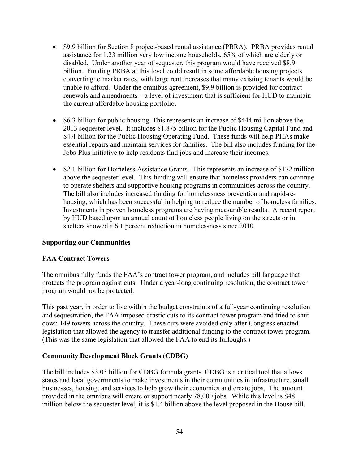- \$9.9 billion for Section 8 project-based rental assistance (PBRA). PRBA provides rental assistance for 1.23 million very low income households, 65% of which are elderly or disabled. Under another year of sequester, this program would have received \$8.9 billion. Funding PRBA at this level could result in some affordable housing projects converting to market rates, with large rent increases that many existing tenants would be unable to afford. Under the omnibus agreement, \$9.9 billion is provided for contract renewals and amendments – a level of investment that is sufficient for HUD to maintain the current affordable housing portfolio.
- \$6.3 billion for public housing. This represents an increase of \$444 million above the 2013 sequester level. It includes \$1.875 billion for the Public Housing Capital Fund and \$4.4 billion for the Public Housing Operating Fund. These funds will help PHAs make essential repairs and maintain services for families. The bill also includes funding for the Jobs-Plus initiative to help residents find jobs and increase their incomes.
- \$2.1 billion for Homeless Assistance Grants. This represents an increase of \$172 million above the sequester level. This funding will ensure that homeless providers can continue to operate shelters and supportive housing programs in communities across the country. The bill also includes increased funding for homelessness prevention and rapid-rehousing, which has been successful in helping to reduce the number of homeless families. Investments in proven homeless programs are having measurable results. A recent report by HUD based upon an annual count of homeless people living on the streets or in shelters showed a 6.1 percent reduction in homelessness since 2010.

#### **Supporting our Communities**

#### **FAA Contract Towers**

The omnibus fully funds the FAA's contract tower program, and includes bill language that protects the program against cuts. Under a year-long continuing resolution, the contract tower program would not be protected.

This past year, in order to live within the budget constraints of a full-year continuing resolution and sequestration, the FAA imposed drastic cuts to its contract tower program and tried to shut down 149 towers across the country. These cuts were avoided only after Congress enacted legislation that allowed the agency to transfer additional funding to the contract tower program. (This was the same legislation that allowed the FAA to end its furloughs.)

#### **Community Development Block Grants (CDBG)**

The bill includes \$3.03 billion for CDBG formula grants. CDBG is a critical tool that allows states and local governments to make investments in their communities in infrastructure, small businesses, housing, and services to help grow their economies and create jobs. The amount provided in the omnibus will create or support nearly 78,000 jobs. While this level is \$48 million below the sequester level, it is \$1.4 billion above the level proposed in the House bill.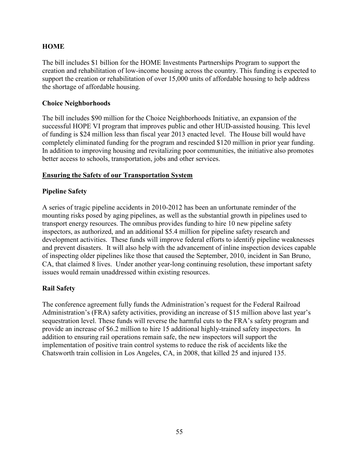## **HOME**

The bill includes \$1 billion for the HOME Investments Partnerships Program to support the creation and rehabilitation of low-income housing across the country. This funding is expected to support the creation or rehabilitation of over 15,000 units of affordable housing to help address the shortage of affordable housing.

#### **Choice Neighborhoods**

The bill includes \$90 million for the Choice Neighborhoods Initiative, an expansion of the successful HOPE VI program that improves public and other HUD-assisted housing. This level of funding is \$24 million less than fiscal year 2013 enacted level. The House bill would have completely eliminated funding for the program and rescinded \$120 million in prior year funding. In addition to improving housing and revitalizing poor communities, the initiative also promotes better access to schools, transportation, jobs and other services.

#### **Ensuring the Safety of our Transportation System**

## **Pipeline Safety**

A series of tragic pipeline accidents in 2010-2012 has been an unfortunate reminder of the mounting risks posed by aging pipelines, as well as the substantial growth in pipelines used to transport energy resources. The omnibus provides funding to hire 10 new pipeline safety inspectors, as authorized, and an additional \$5.4 million for pipeline safety research and development activities. These funds will improve federal efforts to identify pipeline weaknesses and prevent disasters. It will also help with the advancement of inline inspection devices capable of inspecting older pipelines like those that caused the September, 2010, incident in San Bruno, CA, that claimed 8 lives. Under another year-long continuing resolution, these important safety issues would remain unaddressed within existing resources.

## **Rail Safety**

The conference agreement fully funds the Administration's request for the Federal Railroad Administration's (FRA) safety activities, providing an increase of \$15 million above last year's sequestration level. These funds will reverse the harmful cuts to the FRA's safety program and provide an increase of \$6.2 million to hire 15 additional highly-trained safety inspectors. In addition to ensuring rail operations remain safe, the new inspectors will support the implementation of positive train control systems to reduce the risk of accidents like the Chatsworth train collision in Los Angeles, CA, in 2008, that killed 25 and injured 135.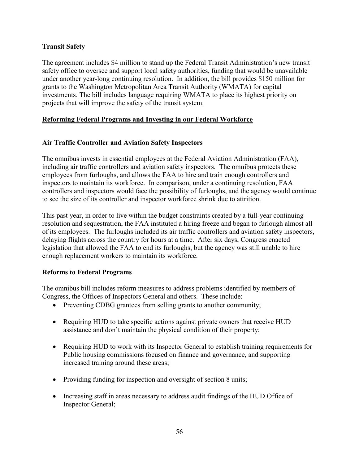## **Transit Safety**

The agreement includes \$4 million to stand up the Federal Transit Administration's new transit safety office to oversee and support local safety authorities, funding that would be unavailable under another year-long continuing resolution. In addition, the bill provides \$150 million for grants to the Washington Metropolitan Area Transit Authority (WMATA) for capital investments. The bill includes language requiring WMATA to place its highest priority on projects that will improve the safety of the transit system.

# **Reforming Federal Programs and Investing in our Federal Workforce**

# **Air Traffic Controller and Aviation Safety Inspectors**

The omnibus invests in essential employees at the Federal Aviation Administration (FAA), including air traffic controllers and aviation safety inspectors. The omnibus protects these employees from furloughs, and allows the FAA to hire and train enough controllers and inspectors to maintain its workforce. In comparison, under a continuing resolution, FAA controllers and inspectors would face the possibility of furloughs, and the agency would continue to see the size of its controller and inspector workforce shrink due to attrition.

This past year, in order to live within the budget constraints created by a full-year continuing resolution and sequestration, the FAA instituted a hiring freeze and began to furlough almost all of its employees. The furloughs included its air traffic controllers and aviation safety inspectors, delaying flights across the country for hours at a time. After six days, Congress enacted legislation that allowed the FAA to end its furloughs, but the agency was still unable to hire enough replacement workers to maintain its workforce.

## **Reforms to Federal Programs**

The omnibus bill includes reform measures to address problems identified by members of Congress, the Offices of Inspectors General and others. These include:

- Preventing CDBG grantees from selling grants to another community;
- Requiring HUD to take specific actions against private owners that receive HUD assistance and don't maintain the physical condition of their property;
- Requiring HUD to work with its Inspector General to establish training requirements for Public housing commissions focused on finance and governance, and supporting increased training around these areas;
- Providing funding for inspection and oversight of section 8 units;
- Increasing staff in areas necessary to address audit findings of the HUD Office of Inspector General;